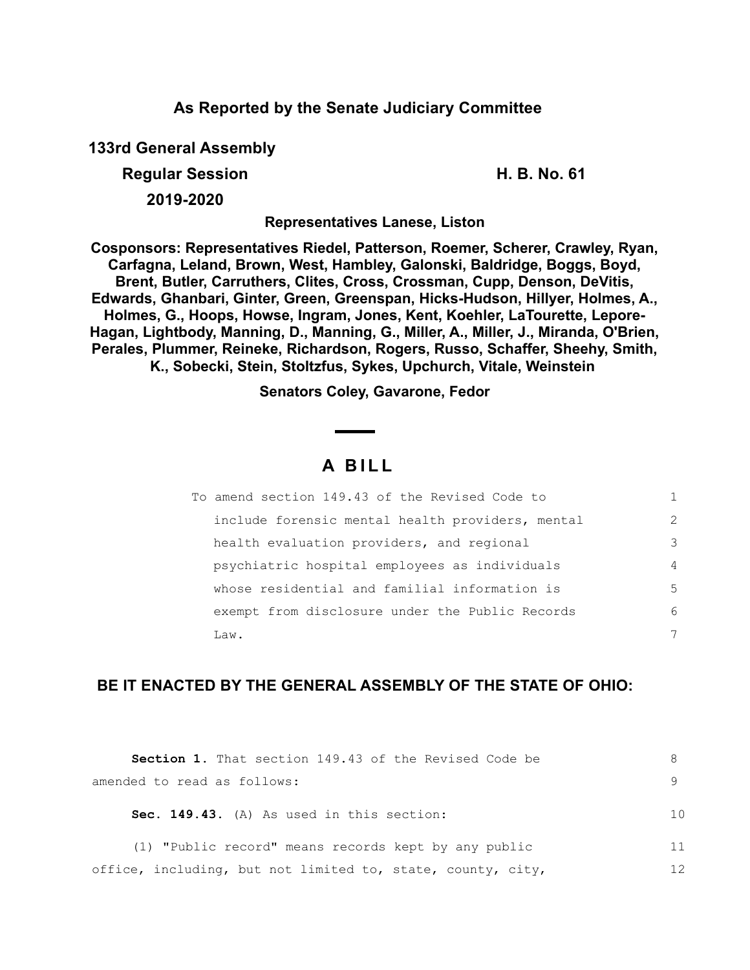# **As Reported by the Senate Judiciary Committee**

**133rd General Assembly**

**Regular Session H. B. No. 61**

**2019-2020**

**Representatives Lanese, Liston**

**Cosponsors: Representatives Riedel, Patterson, Roemer, Scherer, Crawley, Ryan, Carfagna, Leland, Brown, West, Hambley, Galonski, Baldridge, Boggs, Boyd, Brent, Butler, Carruthers, Clites, Cross, Crossman, Cupp, Denson, DeVitis, Edwards, Ghanbari, Ginter, Green, Greenspan, Hicks-Hudson, Hillyer, Holmes, A., Holmes, G., Hoops, Howse, Ingram, Jones, Kent, Koehler, LaTourette, Lepore-Hagan, Lightbody, Manning, D., Manning, G., Miller, A., Miller, J., Miranda, O'Brien, Perales, Plummer, Reineke, Richardson, Rogers, Russo, Schaffer, Sheehy, Smith, K., Sobecki, Stein, Stoltzfus, Sykes, Upchurch, Vitale, Weinstein** 

**Senators Coley, Gavarone, Fedor**

# **A B I L L**

| To amend section 149.43 of the Revised Code to   |                |
|--------------------------------------------------|----------------|
| include forensic mental health providers, mental | $\mathcal{L}$  |
| health evaluation providers, and regional        | 3              |
| psychiatric hospital employees as individuals    | $\overline{4}$ |
| whose residential and familial information is    | 5              |
| exempt from disclosure under the Public Records  | 6              |
| Law.                                             | 7              |

# **BE IT ENACTED BY THE GENERAL ASSEMBLY OF THE STATE OF OHIO:**

| <b>Section 1.</b> That section 149.43 of the Revised Code be |                |
|--------------------------------------------------------------|----------------|
| amended to read as follows:                                  |                |
| Sec. 149.43. (A) As used in this section:                    | 1 <sub>0</sub> |
| (1) "Public record" means records kept by any public         | 11             |
| office, including, but not limited to, state, county, city,  | 12             |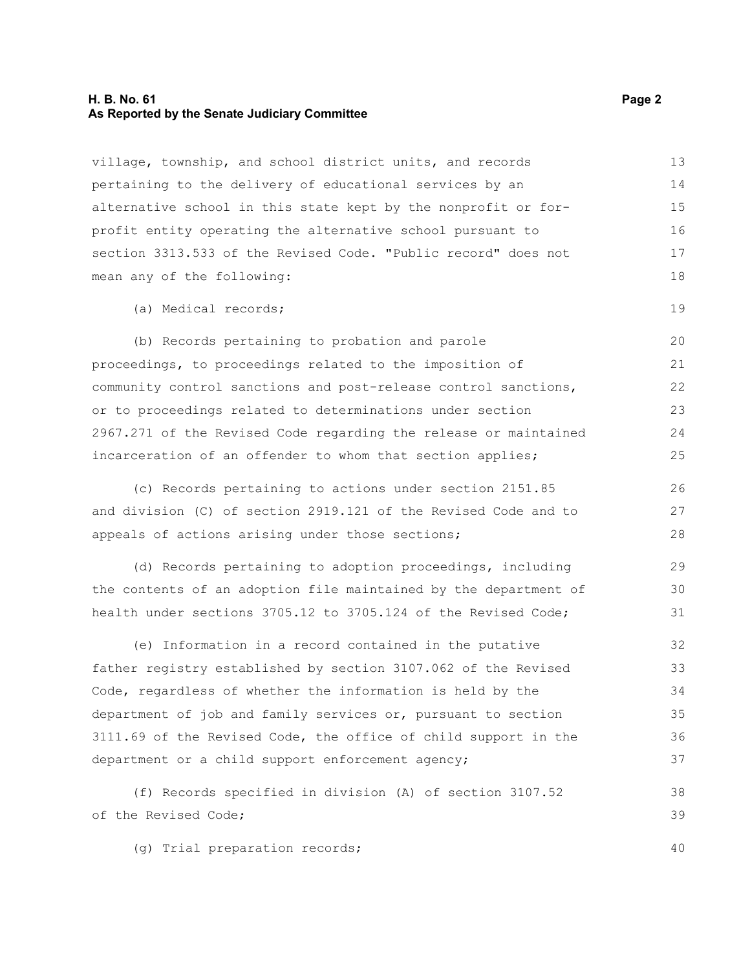#### **H. B. No. 61 Page 2 As Reported by the Senate Judiciary Committee**

village, township, and school district units, and records pertaining to the delivery of educational services by an alternative school in this state kept by the nonprofit or forprofit entity operating the alternative school pursuant to section 3313.533 of the Revised Code. "Public record" does not mean any of the following: (a) Medical records; (b) Records pertaining to probation and parole proceedings, to proceedings related to the imposition of community control sanctions and post-release control sanctions, or to proceedings related to determinations under section 2967.271 of the Revised Code regarding the release or maintained incarceration of an offender to whom that section applies; (c) Records pertaining to actions under section 2151.85 and division (C) of section 2919.121 of the Revised Code and to appeals of actions arising under those sections; (d) Records pertaining to adoption proceedings, including the contents of an adoption file maintained by the department of health under sections 3705.12 to 3705.124 of the Revised Code; (e) Information in a record contained in the putative father registry established by section 3107.062 of the Revised Code, regardless of whether the information is held by the department of job and family services or, pursuant to section 3111.69 of the Revised Code, the office of child support in the department or a child support enforcement agency; (f) Records specified in division (A) of section 3107.52 of the Revised Code; 13 14 15 16 17 18 19  $20$ 21 22 23 24 25 26 27 28 29 30 31 32 33 34 35 36 37 38 39

(g) Trial preparation records;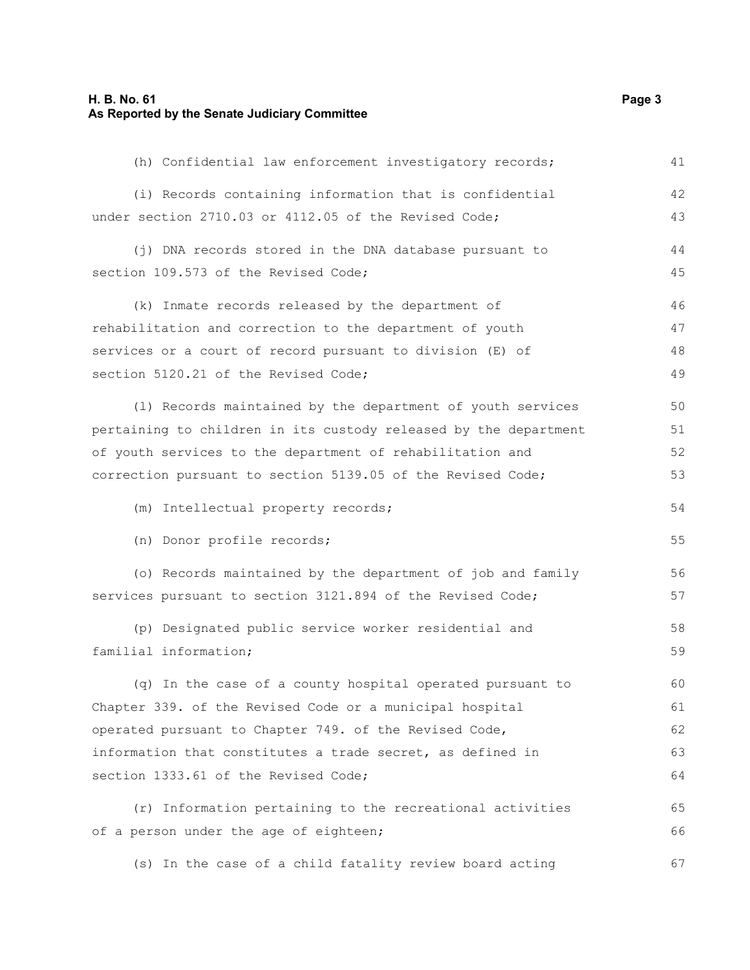### **H. B. No. 61 Page 3 As Reported by the Senate Judiciary Committee**

| (h) Confidential law enforcement investigatory records;          | 41 |
|------------------------------------------------------------------|----|
| (i) Records containing information that is confidential          | 42 |
| under section 2710.03 or 4112.05 of the Revised Code;            | 43 |
| (j) DNA records stored in the DNA database pursuant to           | 44 |
| section 109.573 of the Revised Code;                             | 45 |
| (k) Inmate records released by the department of                 | 46 |
| rehabilitation and correction to the department of youth         | 47 |
| services or a court of record pursuant to division (E) of        | 48 |
| section 5120.21 of the Revised Code;                             | 49 |
| (1) Records maintained by the department of youth services       | 50 |
| pertaining to children in its custody released by the department | 51 |
| of youth services to the department of rehabilitation and        | 52 |
| correction pursuant to section 5139.05 of the Revised Code;      | 53 |
| (m) Intellectual property records;                               | 54 |
| (n) Donor profile records;                                       | 55 |
| (o) Records maintained by the department of job and family       | 56 |
| services pursuant to section 3121.894 of the Revised Code;       | 57 |
| (p) Designated public service worker residential and             | 58 |
| familial information;                                            | 59 |
| (q) In the case of a county hospital operated pursuant to        | 60 |
| Chapter 339. of the Revised Code or a municipal hospital         | 61 |
| operated pursuant to Chapter 749. of the Revised Code,           | 62 |
| information that constitutes a trade secret, as defined in       | 63 |
| section 1333.61 of the Revised Code;                             | 64 |
| (r) Information pertaining to the recreational activities        | 65 |
| of a person under the age of eighteen;                           | 66 |
| (s) In the case of a child fatality review board acting          | 67 |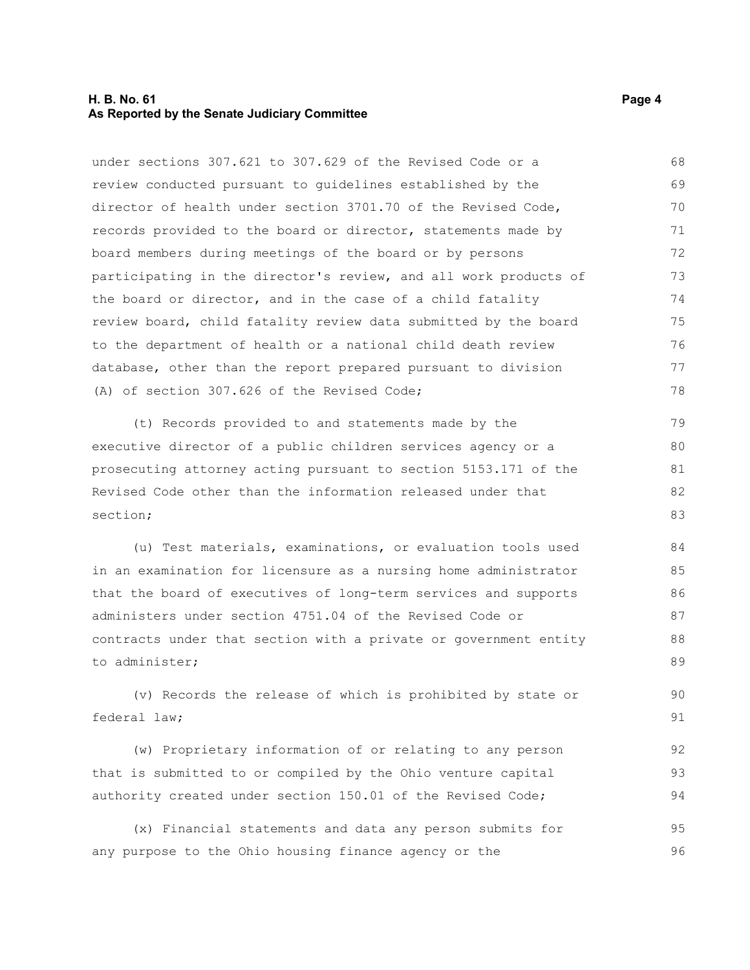#### **H. B. No. 61 Page 4 As Reported by the Senate Judiciary Committee**

under sections 307.621 to 307.629 of the Revised Code or a review conducted pursuant to guidelines established by the director of health under section 3701.70 of the Revised Code, records provided to the board or director, statements made by board members during meetings of the board or by persons participating in the director's review, and all work products of the board or director, and in the case of a child fatality review board, child fatality review data submitted by the board to the department of health or a national child death review database, other than the report prepared pursuant to division (A) of section 307.626 of the Revised Code; 68 69 70 71 72 73 74 75 76 77 78

(t) Records provided to and statements made by the executive director of a public children services agency or a prosecuting attorney acting pursuant to section 5153.171 of the Revised Code other than the information released under that section;

(u) Test materials, examinations, or evaluation tools used in an examination for licensure as a nursing home administrator that the board of executives of long-term services and supports administers under section 4751.04 of the Revised Code or contracts under that section with a private or government entity to administer; 84 85 86 87 88 89

(v) Records the release of which is prohibited by state or federal law; 90 91

(w) Proprietary information of or relating to any person that is submitted to or compiled by the Ohio venture capital authority created under section 150.01 of the Revised Code; 92 93 94

(x) Financial statements and data any person submits for any purpose to the Ohio housing finance agency or the 95 96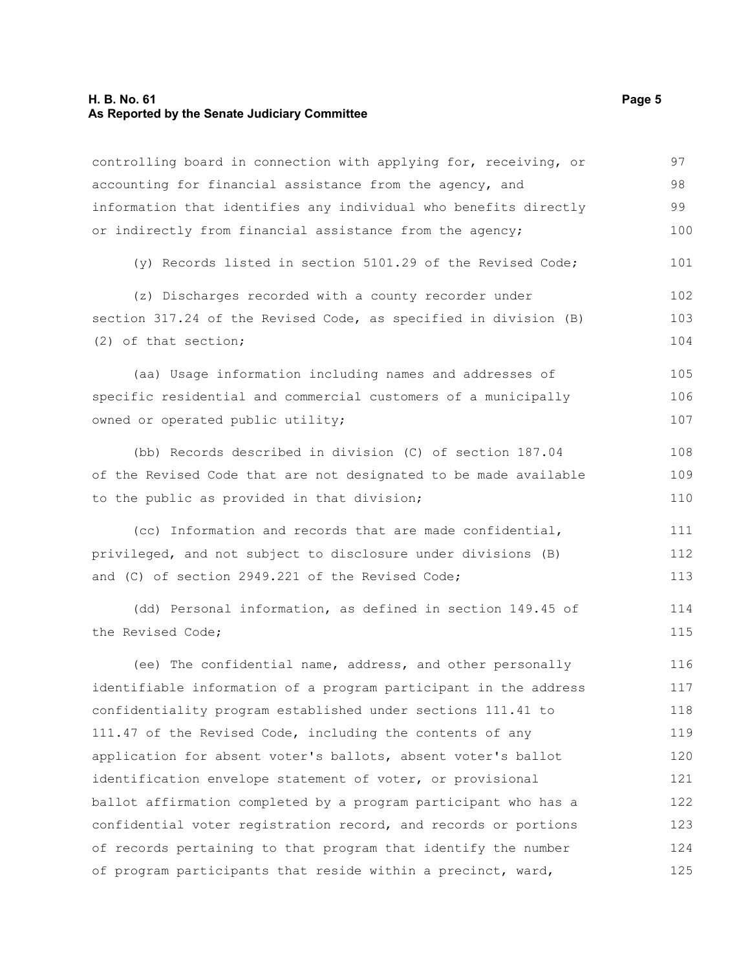#### **H. B. No. 61 Page 5 As Reported by the Senate Judiciary Committee**

controlling board in connection with applying for, receiving, or accounting for financial assistance from the agency, and information that identifies any individual who benefits directly or indirectly from financial assistance from the agency; (y) Records listed in section 5101.29 of the Revised Code; (z) Discharges recorded with a county recorder under section 317.24 of the Revised Code, as specified in division (B) (2) of that section; (aa) Usage information including names and addresses of specific residential and commercial customers of a municipally owned or operated public utility; (bb) Records described in division (C) of section 187.04 of the Revised Code that are not designated to be made available to the public as provided in that division; (cc) Information and records that are made confidential, privileged, and not subject to disclosure under divisions (B) and (C) of section 2949.221 of the Revised Code; (dd) Personal information, as defined in section 149.45 of the Revised Code; (ee) The confidential name, address, and other personally identifiable information of a program participant in the address confidentiality program established under sections 111.41 to 111.47 of the Revised Code, including the contents of any application for absent voter's ballots, absent voter's ballot identification envelope statement of voter, or provisional ballot affirmation completed by a program participant who has a confidential voter registration record, and records or portions of records pertaining to that program that identify the number of program participants that reside within a precinct, ward, 97 98 99 100 101 102 103 104 105 106 107 108 109 110 111 112 113 114 115 116 117 118 119 120 121 122 123 124 125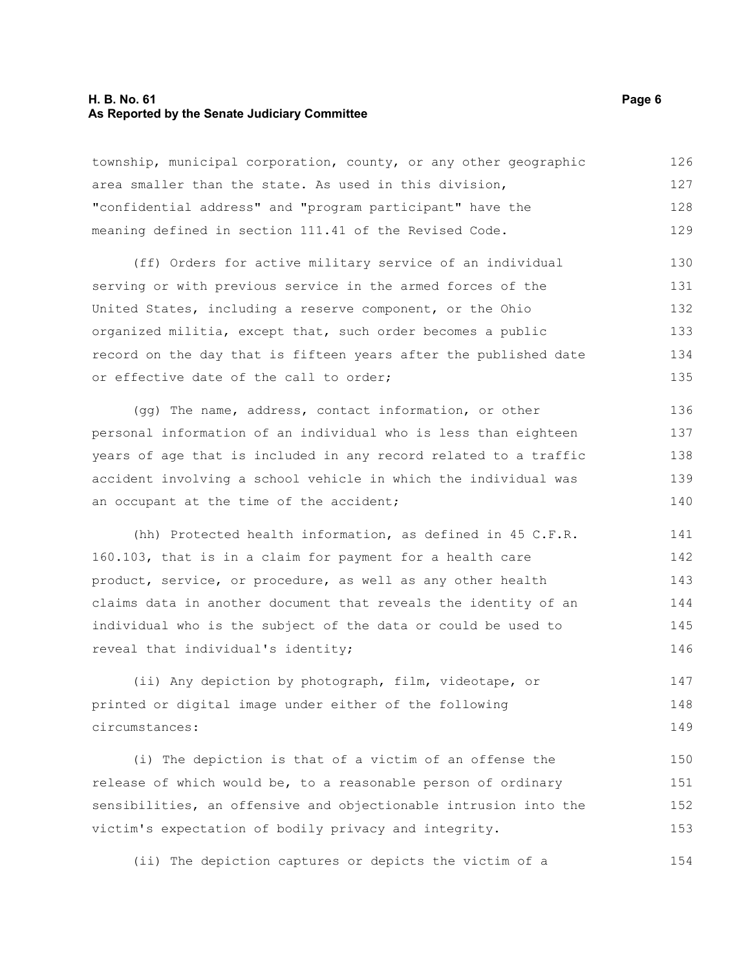#### **H. B. No. 61 Page 6 As Reported by the Senate Judiciary Committee**

township, municipal corporation, county, or any other geographic area smaller than the state. As used in this division, "confidential address" and "program participant" have the meaning defined in section 111.41 of the Revised Code. 126 127 128 129

(ff) Orders for active military service of an individual serving or with previous service in the armed forces of the United States, including a reserve component, or the Ohio organized militia, except that, such order becomes a public record on the day that is fifteen years after the published date or effective date of the call to order; 130 131 132 133 134 135

(gg) The name, address, contact information, or other personal information of an individual who is less than eighteen years of age that is included in any record related to a traffic accident involving a school vehicle in which the individual was an occupant at the time of the accident; 136 137 138 139 140

(hh) Protected health information, as defined in 45 C.F.R. 160.103, that is in a claim for payment for a health care product, service, or procedure, as well as any other health claims data in another document that reveals the identity of an individual who is the subject of the data or could be used to reveal that individual's identity; 141 142 143 144 145 146

(ii) Any depiction by photograph, film, videotape, or printed or digital image under either of the following circumstances: 147 148 149

(i) The depiction is that of a victim of an offense the release of which would be, to a reasonable person of ordinary sensibilities, an offensive and objectionable intrusion into the victim's expectation of bodily privacy and integrity. 150 151 152 153

(ii) The depiction captures or depicts the victim of a 154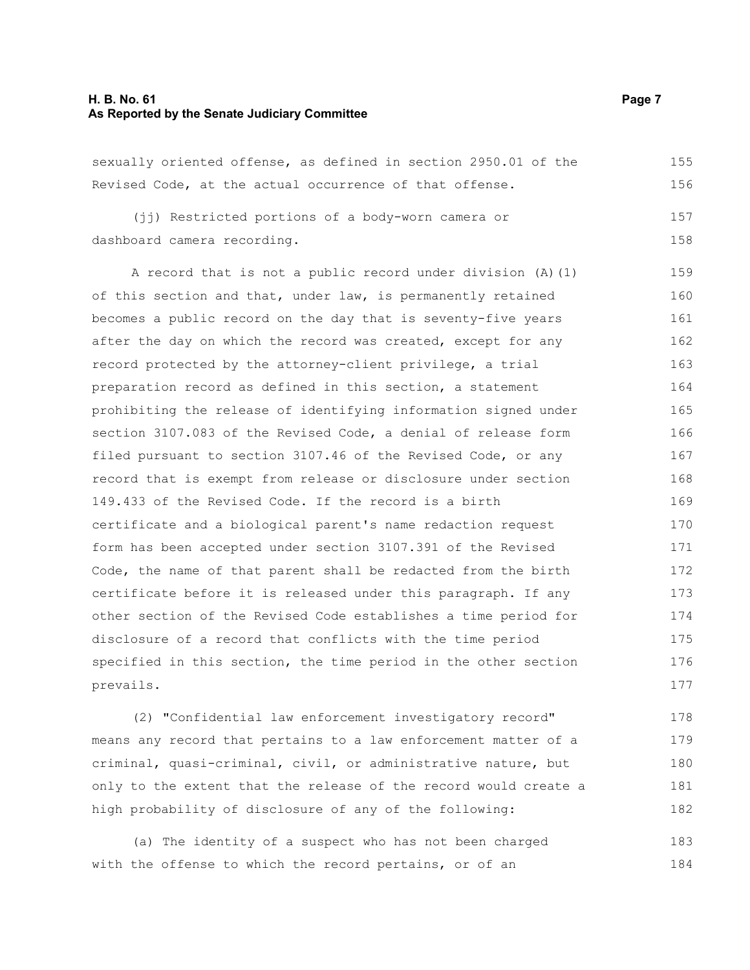#### **H. B. No. 61 Page 7 As Reported by the Senate Judiciary Committee**

sexually oriented offense, as defined in section 2950.01 of the Revised Code, at the actual occurrence of that offense. (jj) Restricted portions of a body-worn camera or dashboard camera recording. A record that is not a public record under division (A)(1) of this section and that, under law, is permanently retained becomes a public record on the day that is seventy-five years after the day on which the record was created, except for any record protected by the attorney-client privilege, a trial preparation record as defined in this section, a statement prohibiting the release of identifying information signed under section 3107.083 of the Revised Code, a denial of release form filed pursuant to section 3107.46 of the Revised Code, or any record that is exempt from release or disclosure under section 149.433 of the Revised Code. If the record is a birth certificate and a biological parent's name redaction request form has been accepted under section 3107.391 of the Revised Code, the name of that parent shall be redacted from the birth certificate before it is released under this paragraph. If any other section of the Revised Code establishes a time period for disclosure of a record that conflicts with the time period specified in this section, the time period in the other section prevails. (2) "Confidential law enforcement investigatory record" means any record that pertains to a law enforcement matter of a criminal, quasi-criminal, civil, or administrative nature, but 155 156 157 158 159 160 161 162 163 164 165 166 167 168 169 170 171 172 173 174 175 176 177 178 179 180

only to the extent that the release of the record would create a high probability of disclosure of any of the following: 181 182

(a) The identity of a suspect who has not been charged with the offense to which the record pertains, or of an 183 184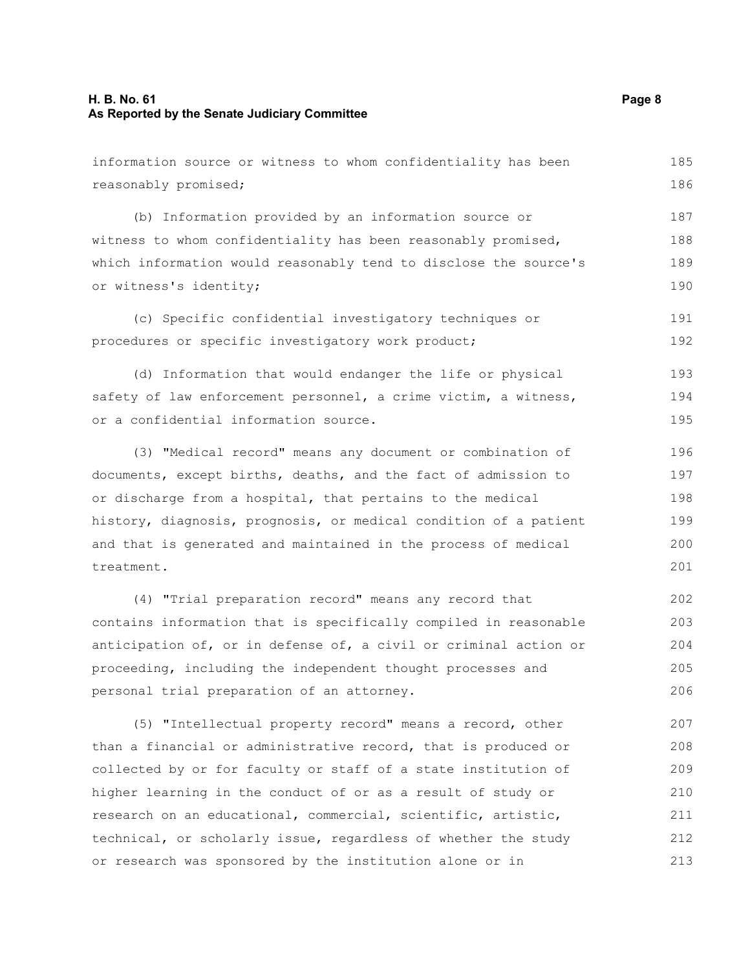#### **H. B. No. 61 Page 8 As Reported by the Senate Judiciary Committee**

information source or witness to whom confidentiality has been reasonably promised; (b) Information provided by an information source or witness to whom confidentiality has been reasonably promised, which information would reasonably tend to disclose the source's or witness's identity; (c) Specific confidential investigatory techniques or procedures or specific investigatory work product; (d) Information that would endanger the life or physical safety of law enforcement personnel, a crime victim, a witness, or a confidential information source. (3) "Medical record" means any document or combination of documents, except births, deaths, and the fact of admission to or discharge from a hospital, that pertains to the medical history, diagnosis, prognosis, or medical condition of a patient and that is generated and maintained in the process of medical treatment. (4) "Trial preparation record" means any record that contains information that is specifically compiled in reasonable anticipation of, or in defense of, a civil or criminal action or proceeding, including the independent thought processes and personal trial preparation of an attorney. (5) "Intellectual property record" means a record, other than a financial or administrative record, that is produced or collected by or for faculty or staff of a state institution of higher learning in the conduct of or as a result of study or research on an educational, commercial, scientific, artistic, technical, or scholarly issue, regardless of whether the study or research was sponsored by the institution alone or in 185 186 187 188 189 190 191 192 193 194 195 196 197 198 199 200 201 202 203 204 205 206 207 208 209 210 211 212 213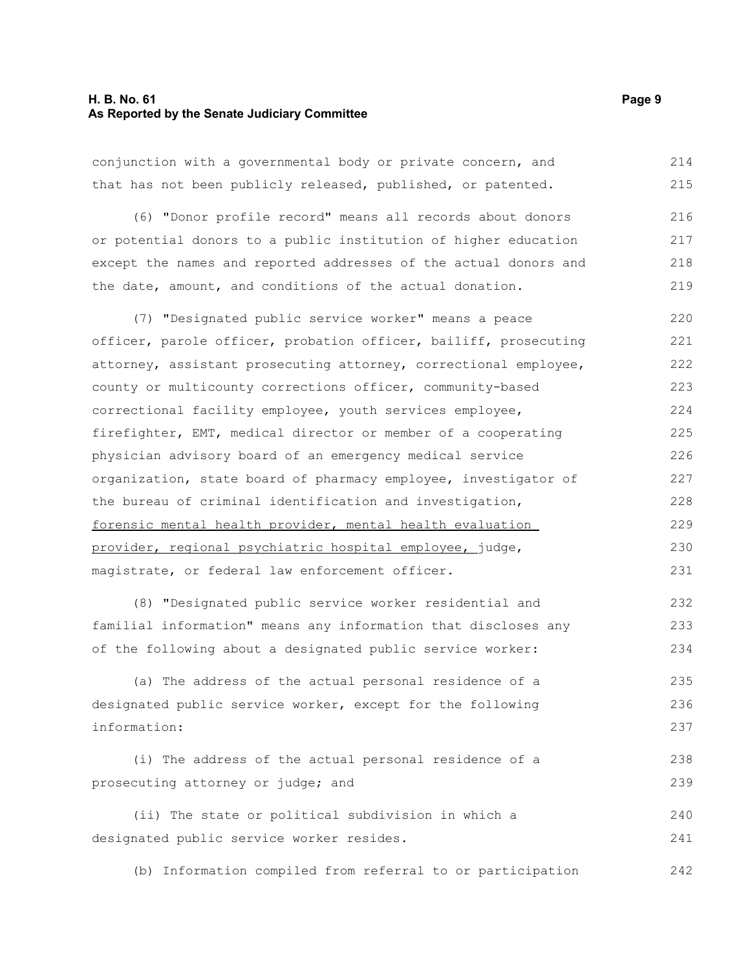#### **H. B. No. 61 Page 9 As Reported by the Senate Judiciary Committee**

conjunction with a governmental body or private concern, and that has not been publicly released, published, or patented. 214 215

(6) "Donor profile record" means all records about donors or potential donors to a public institution of higher education except the names and reported addresses of the actual donors and the date, amount, and conditions of the actual donation. 216 217 218 219

(7) "Designated public service worker" means a peace officer, parole officer, probation officer, bailiff, prosecuting attorney, assistant prosecuting attorney, correctional employee, county or multicounty corrections officer, community-based correctional facility employee, youth services employee, firefighter, EMT, medical director or member of a cooperating physician advisory board of an emergency medical service organization, state board of pharmacy employee, investigator of the bureau of criminal identification and investigation, forensic mental health provider, mental health evaluation provider, regional psychiatric hospital employee, judge, magistrate, or federal law enforcement officer. 220 221 222 223 224 225 226 227 228 229 230 231

(8) "Designated public service worker residential and familial information" means any information that discloses any of the following about a designated public service worker:

(a) The address of the actual personal residence of a designated public service worker, except for the following information: 235 236 237

(i) The address of the actual personal residence of a prosecuting attorney or judge; and 238 239

(ii) The state or political subdivision in which a designated public service worker resides. 240 241

(b) Information compiled from referral to or participation 242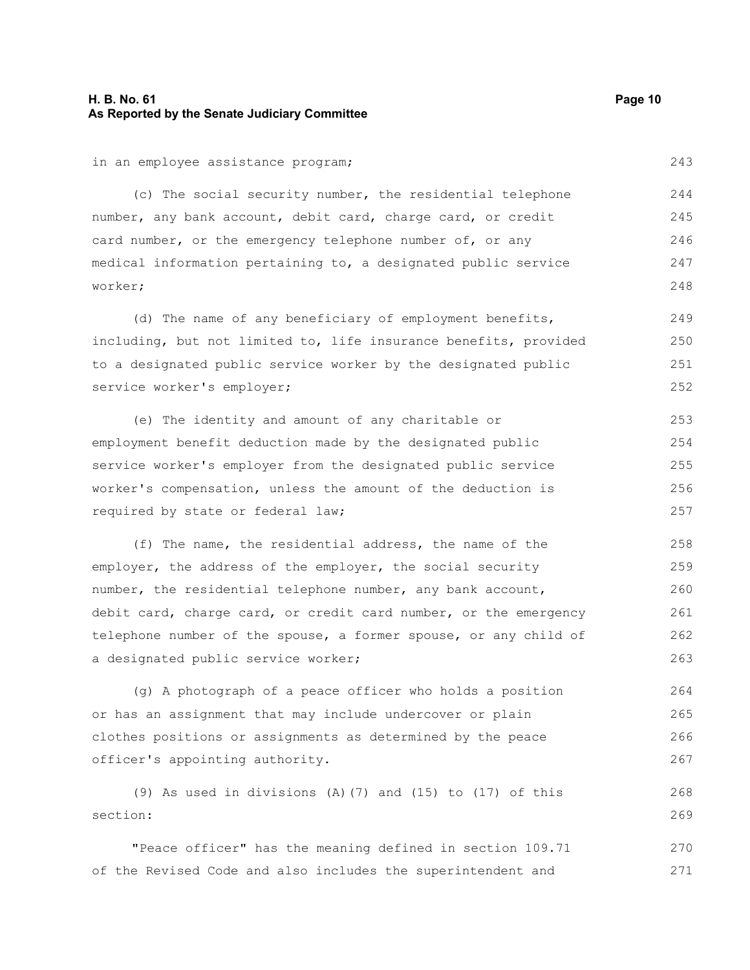#### **H. B. No. 61 Page 10 As Reported by the Senate Judiciary Committee**

in an employee assistance program;

(c) The social security number, the residential telephone number, any bank account, debit card, charge card, or credit card number, or the emergency telephone number of, or any medical information pertaining to, a designated public service worker; 244 245 246 247 248

(d) The name of any beneficiary of employment benefits, including, but not limited to, life insurance benefits, provided to a designated public service worker by the designated public service worker's employer; 249 250 251 252

(e) The identity and amount of any charitable or employment benefit deduction made by the designated public service worker's employer from the designated public service worker's compensation, unless the amount of the deduction is required by state or federal law; 253 254 255 256 257

(f) The name, the residential address, the name of the employer, the address of the employer, the social security number, the residential telephone number, any bank account, debit card, charge card, or credit card number, or the emergency telephone number of the spouse, a former spouse, or any child of a designated public service worker; 258 259 260 261 262 263

(g) A photograph of a peace officer who holds a position or has an assignment that may include undercover or plain clothes positions or assignments as determined by the peace officer's appointing authority. 264 265 266 267

(9) As used in divisions (A)(7) and (15) to (17) of this section: 268 269

"Peace officer" has the meaning defined in section 109.71 of the Revised Code and also includes the superintendent and 270 271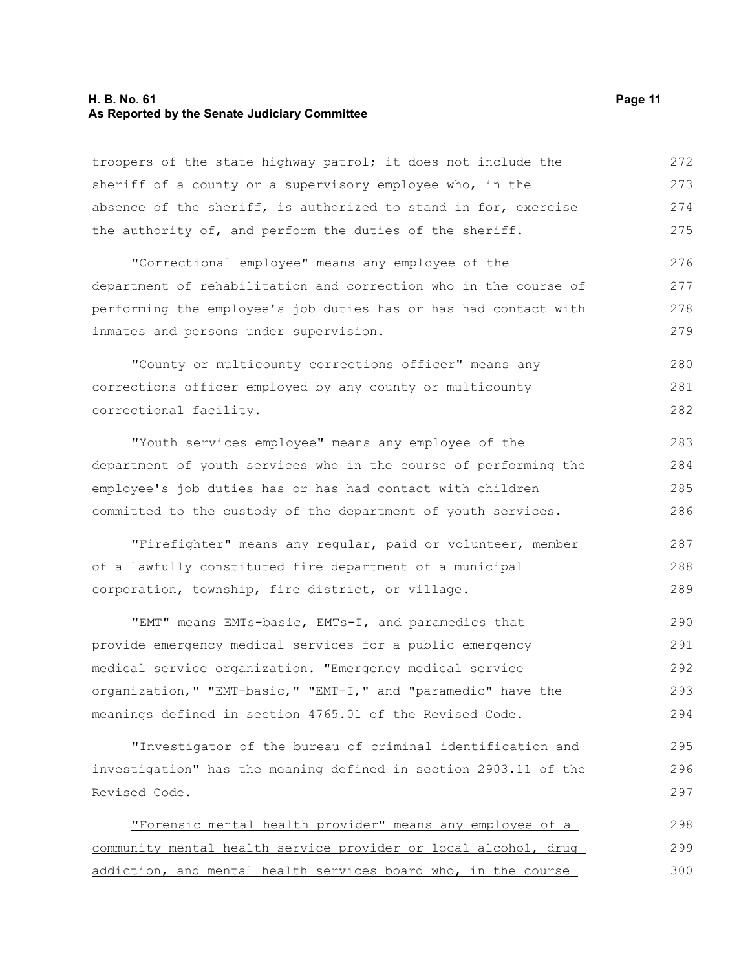#### **H. B. No. 61 Page 11 As Reported by the Senate Judiciary Committee**

Revised Code.

troopers of the state highway patrol; it does not include the sheriff of a county or a supervisory employee who, in the absence of the sheriff, is authorized to stand in for, exercise the authority of, and perform the duties of the sheriff. "Correctional employee" means any employee of the department of rehabilitation and correction who in the course of performing the employee's job duties has or has had contact with inmates and persons under supervision. "County or multicounty corrections officer" means any corrections officer employed by any county or multicounty correctional facility. "Youth services employee" means any employee of the department of youth services who in the course of performing the employee's job duties has or has had contact with children committed to the custody of the department of youth services. "Firefighter" means any regular, paid or volunteer, member of a lawfully constituted fire department of a municipal corporation, township, fire district, or village. "EMT" means EMTs-basic, EMTs-I, and paramedics that provide emergency medical services for a public emergency medical service organization. "Emergency medical service organization," "EMT-basic," "EMT-I," and "paramedic" have the meanings defined in section 4765.01 of the Revised Code. "Investigator of the bureau of criminal identification and investigation" has the meaning defined in section 2903.11 of the 272 273 274 275 276 277 278 279 280 281 282 283 284 285 286 287 288 289 290 291 292 293 294 295 296

"Forensic mental health provider" means any employee of a community mental health service provider or local alcohol, drug addiction, and mental health services board who, in the course 298 299 300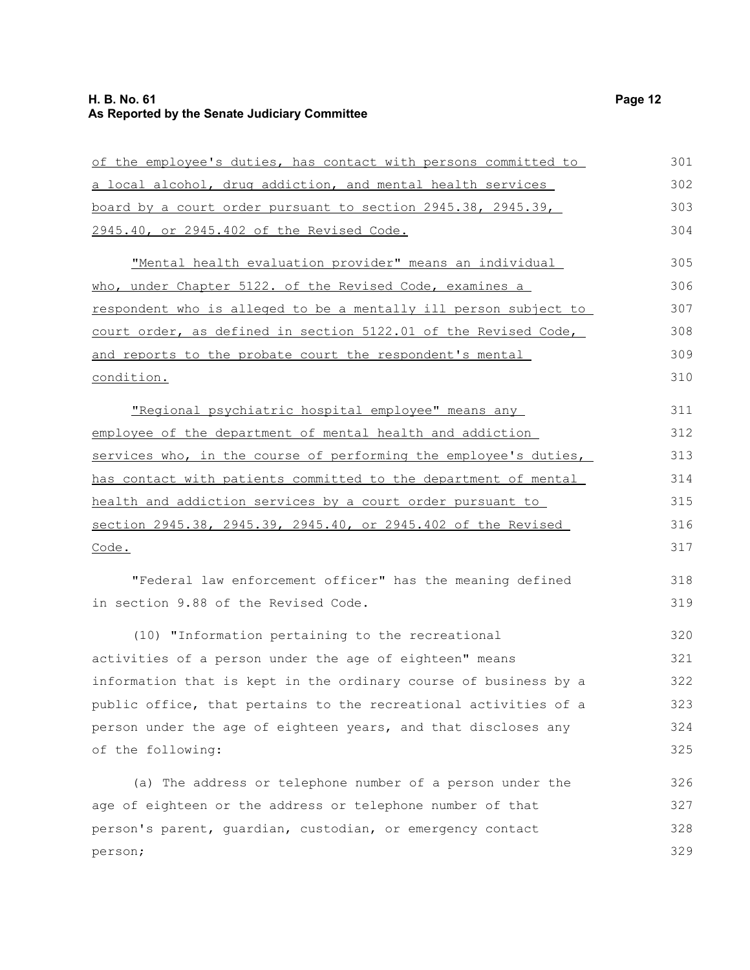### **H. B. No. 61 Page 12 As Reported by the Senate Judiciary Committee**

| of the employee's duties, has contact with persons committed to  | 301 |
|------------------------------------------------------------------|-----|
| a local alcohol, drug addiction, and mental health services      | 302 |
| board by a court order pursuant to section 2945.38, 2945.39,     | 303 |
| 2945.40, or 2945.402 of the Revised Code.                        | 304 |
| "Mental health evaluation provider" means an individual          | 305 |
| who, under Chapter 5122. of the Revised Code, examines a         | 306 |
| respondent who is alleged to be a mentally ill person subject to | 307 |
| court order, as defined in section 5122.01 of the Revised Code,  | 308 |
| and reports to the probate court the respondent's mental         | 309 |
| condition.                                                       | 310 |
| "Regional psychiatric hospital employee" means any               | 311 |
| employee of the department of mental health and addiction        | 312 |
| services who, in the course of performing the employee's duties, | 313 |
| has contact with patients committed to the department of mental  | 314 |
| health and addiction services by a court order pursuant to       | 315 |
| section 2945.38, 2945.39, 2945.40, or 2945.402 of the Revised    | 316 |
| Code.                                                            | 317 |
| "Federal law enforcement officer" has the meaning defined        | 318 |
| in section 9.88 of the Revised Code.                             | 319 |
| (10) "Information pertaining to the recreational                 | 320 |
| activities of a person under the age of eighteen" means          | 321 |
| information that is kept in the ordinary course of business by a | 322 |
| public office, that pertains to the recreational activities of a | 323 |
| person under the age of eighteen years, and that discloses any   | 324 |
| of the following:                                                | 325 |
| (a) The address or telephone number of a person under the        | 326 |
| age of eighteen or the address or telephone number of that       | 327 |
| person's parent, guardian, custodian, or emergency contact       | 328 |
| person;                                                          | 329 |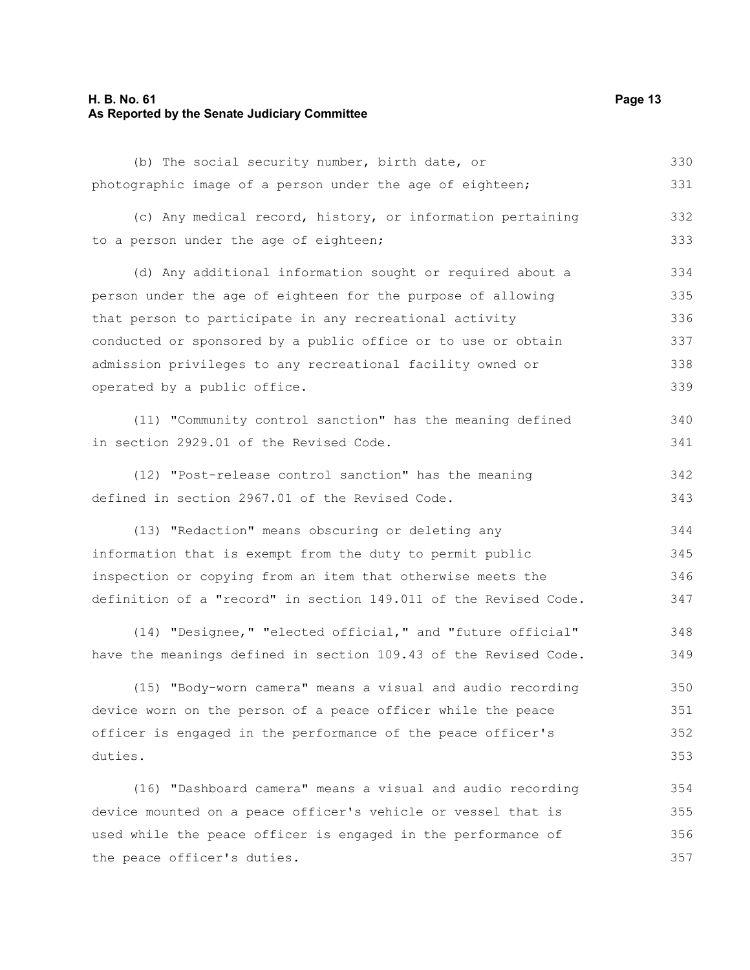### **H. B. No. 61 Page 13 As Reported by the Senate Judiciary Committee**

| (b) The social security number, birth date, or                   | 330 |
|------------------------------------------------------------------|-----|
| photographic image of a person under the age of eighteen;        | 331 |
| (c) Any medical record, history, or information pertaining       | 332 |
| to a person under the age of eighteen;                           | 333 |
| (d) Any additional information sought or required about a        | 334 |
| person under the age of eighteen for the purpose of allowing     | 335 |
| that person to participate in any recreational activity          | 336 |
| conducted or sponsored by a public office or to use or obtain    | 337 |
| admission privileges to any recreational facility owned or       | 338 |
| operated by a public office.                                     | 339 |
| (11) "Community control sanction" has the meaning defined        | 340 |
| in section 2929.01 of the Revised Code.                          | 341 |
| (12) "Post-release control sanction" has the meaning             | 342 |
| defined in section 2967.01 of the Revised Code.                  | 343 |
| (13) "Redaction" means obscuring or deleting any                 | 344 |
| information that is exempt from the duty to permit public        | 345 |
| inspection or copying from an item that otherwise meets the      | 346 |
| definition of a "record" in section 149.011 of the Revised Code. | 347 |
| (14) "Designee," "elected official," and "future official"       | 348 |
| have the meanings defined in section 109.43 of the Revised Code. | 349 |
| (15) "Body-worn camera" means a visual and audio recording       | 350 |
| device worn on the person of a peace officer while the peace     | 351 |
| officer is engaged in the performance of the peace officer's     | 352 |
| duties.                                                          | 353 |
| (16) "Dashboard camera" means a visual and audio recording       | 354 |
| device mounted on a peace officer's vehicle or vessel that is    | 355 |
| used while the peace officer is engaged in the performance of    | 356 |
| the peace officer's duties.                                      | 357 |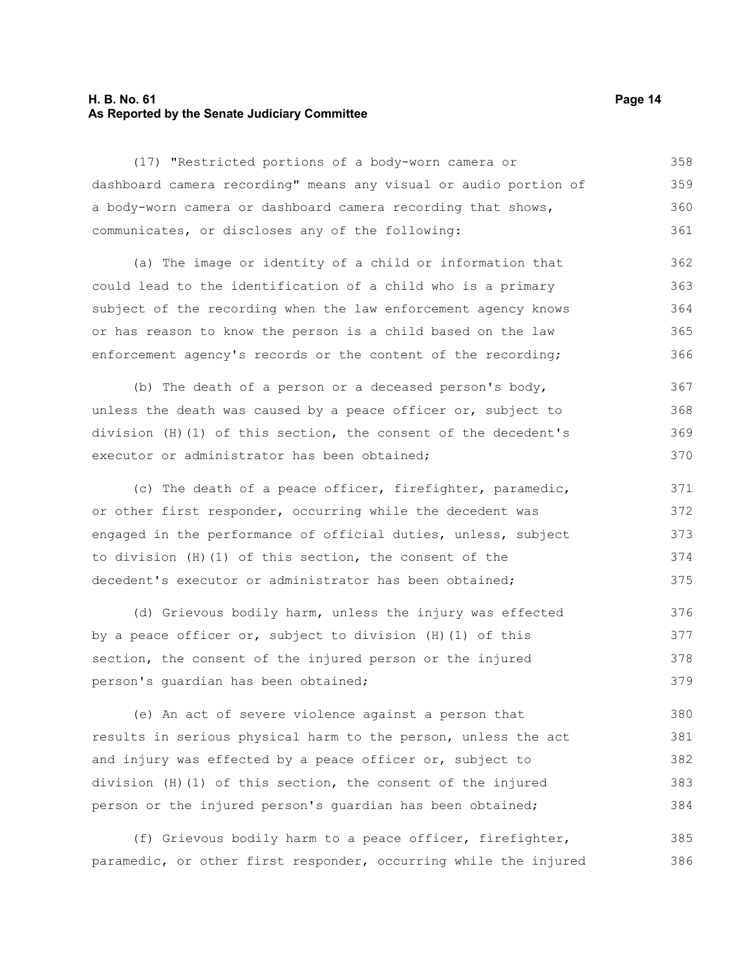#### **H. B. No. 61 Page 14 As Reported by the Senate Judiciary Committee**

(17) "Restricted portions of a body-worn camera or dashboard camera recording" means any visual or audio portion of a body-worn camera or dashboard camera recording that shows, communicates, or discloses any of the following: 358 359 360 361

(a) The image or identity of a child or information that could lead to the identification of a child who is a primary subject of the recording when the law enforcement agency knows or has reason to know the person is a child based on the law enforcement agency's records or the content of the recording; 362 363 364 365 366

(b) The death of a person or a deceased person's body, unless the death was caused by a peace officer or, subject to division (H)(1) of this section, the consent of the decedent's executor or administrator has been obtained; 367 368 369 370

(c) The death of a peace officer, firefighter, paramedic, or other first responder, occurring while the decedent was engaged in the performance of official duties, unless, subject to division (H)(1) of this section, the consent of the decedent's executor or administrator has been obtained; 371 372 373 374 375

(d) Grievous bodily harm, unless the injury was effected by a peace officer or, subject to division (H)(1) of this section, the consent of the injured person or the injured person's guardian has been obtained; 376 377 378 379

(e) An act of severe violence against a person that results in serious physical harm to the person, unless the act and injury was effected by a peace officer or, subject to division (H)(1) of this section, the consent of the injured person or the injured person's guardian has been obtained; 380 381 382 383 384

(f) Grievous bodily harm to a peace officer, firefighter, paramedic, or other first responder, occurring while the injured 385 386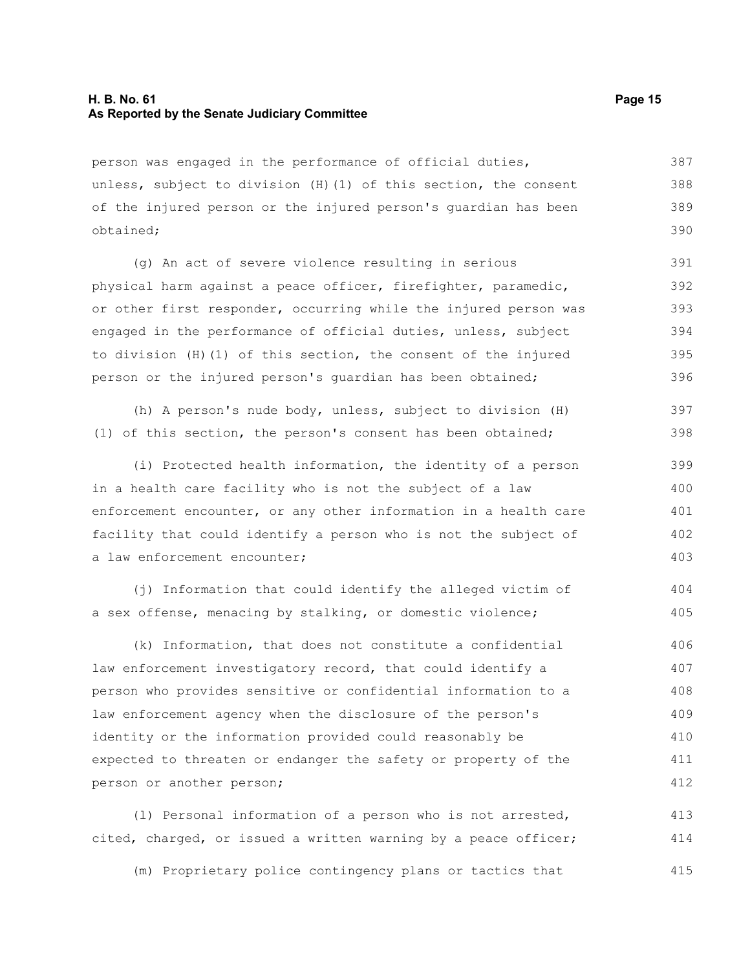#### **H. B. No. 61 Page 15 As Reported by the Senate Judiciary Committee**

person was engaged in the performance of official duties, unless, subject to division (H)(1) of this section, the consent of the injured person or the injured person's guardian has been obtained; 387 388 389 390

(g) An act of severe violence resulting in serious physical harm against a peace officer, firefighter, paramedic, or other first responder, occurring while the injured person was engaged in the performance of official duties, unless, subject to division (H)(1) of this section, the consent of the injured person or the injured person's guardian has been obtained; 391 392 393 394 395 396

(h) A person's nude body, unless, subject to division (H) (1) of this section, the person's consent has been obtained; 397 398

(i) Protected health information, the identity of a person in a health care facility who is not the subject of a law enforcement encounter, or any other information in a health care facility that could identify a person who is not the subject of a law enforcement encounter; 399 400 401 402 403

(j) Information that could identify the alleged victim of a sex offense, menacing by stalking, or domestic violence; 404 405

(k) Information, that does not constitute a confidential law enforcement investigatory record, that could identify a person who provides sensitive or confidential information to a law enforcement agency when the disclosure of the person's identity or the information provided could reasonably be expected to threaten or endanger the safety or property of the person or another person; 406 407 408 409 410 411 412

(l) Personal information of a person who is not arrested, cited, charged, or issued a written warning by a peace officer; 413 414

(m) Proprietary police contingency plans or tactics that 415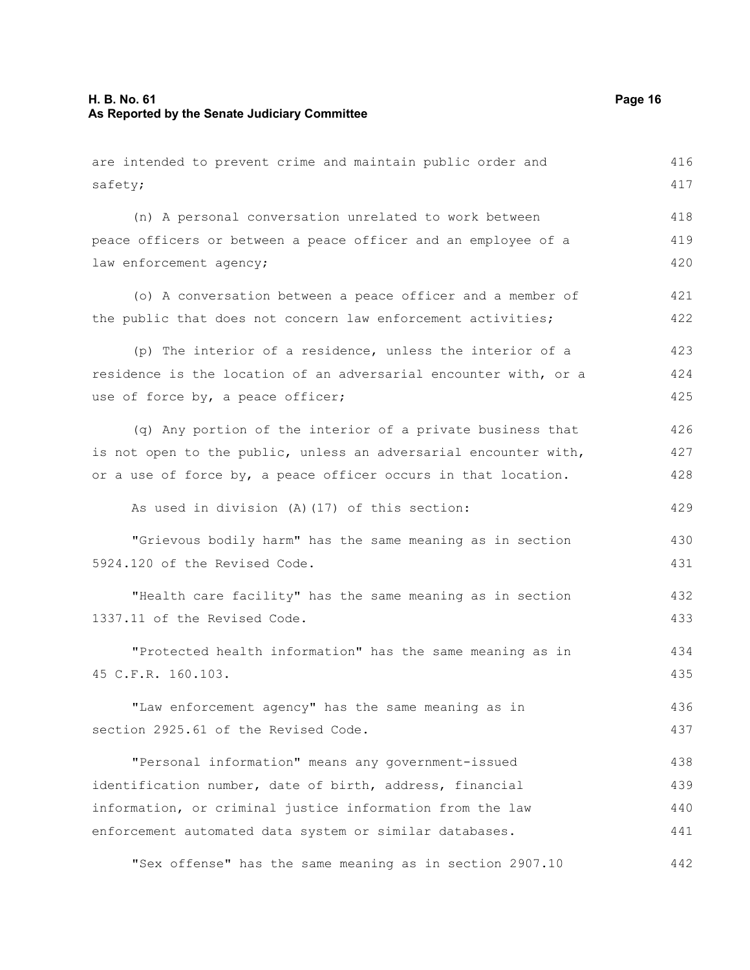are intended to prevent crime and maintain public order and safety; (n) A personal conversation unrelated to work between peace officers or between a peace officer and an employee of a law enforcement agency; (o) A conversation between a peace officer and a member of the public that does not concern law enforcement activities; (p) The interior of a residence, unless the interior of a residence is the location of an adversarial encounter with, or a use of force by, a peace officer; (q) Any portion of the interior of a private business that is not open to the public, unless an adversarial encounter with, or a use of force by, a peace officer occurs in that location. As used in division (A)(17) of this section: "Grievous bodily harm" has the same meaning as in section 5924.120 of the Revised Code. "Health care facility" has the same meaning as in section 1337.11 of the Revised Code. "Protected health information" has the same meaning as in 45 C.F.R. 160.103. "Law enforcement agency" has the same meaning as in section 2925.61 of the Revised Code. "Personal information" means any government-issued identification number, date of birth, address, financial information, or criminal justice information from the law enforcement automated data system or similar databases. "Sex offense" has the same meaning as in section 2907.10 416 417 418 419 420 421 422 423 424 425 426 427 428 429 430 431 432 433 434 435 436 437 438 439 440 441 442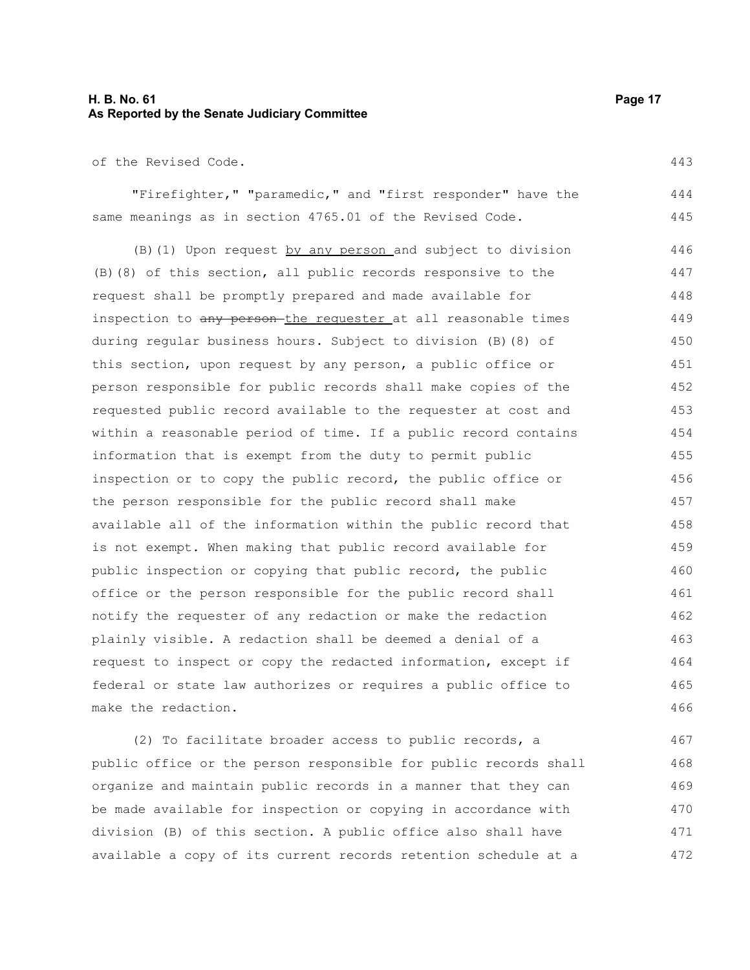#### **H. B. No. 61 Page 17 As Reported by the Senate Judiciary Committee**

of the Revised Code.

"Firefighter," "paramedic," and "first responder" have the same meanings as in section 4765.01 of the Revised Code. 444 445

(B)(1) Upon request by any person and subject to division (B)(8) of this section, all public records responsive to the request shall be promptly prepared and made available for inspection to any person-the requester at all reasonable times during regular business hours. Subject to division (B)(8) of this section, upon request by any person, a public office or person responsible for public records shall make copies of the requested public record available to the requester at cost and within a reasonable period of time. If a public record contains information that is exempt from the duty to permit public inspection or to copy the public record, the public office or the person responsible for the public record shall make available all of the information within the public record that is not exempt. When making that public record available for public inspection or copying that public record, the public office or the person responsible for the public record shall notify the requester of any redaction or make the redaction plainly visible. A redaction shall be deemed a denial of a request to inspect or copy the redacted information, except if federal or state law authorizes or requires a public office to make the redaction. 446 447 448 449 450 451 452 453 454 455 456 457 458 459 460 461 462 463 464 465 466

(2) To facilitate broader access to public records, a public office or the person responsible for public records shall organize and maintain public records in a manner that they can be made available for inspection or copying in accordance with division (B) of this section. A public office also shall have available a copy of its current records retention schedule at a 467 468 469 470 471 472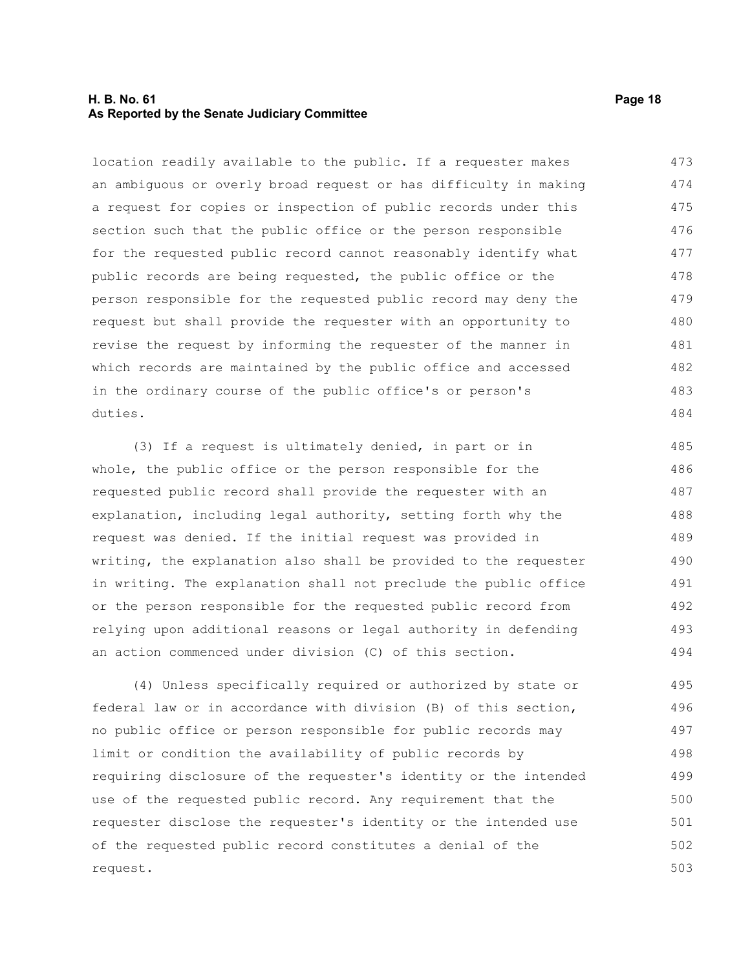#### **H. B. No. 61 Page 18 As Reported by the Senate Judiciary Committee**

location readily available to the public. If a requester makes an ambiguous or overly broad request or has difficulty in making a request for copies or inspection of public records under this section such that the public office or the person responsible for the requested public record cannot reasonably identify what public records are being requested, the public office or the person responsible for the requested public record may deny the request but shall provide the requester with an opportunity to revise the request by informing the requester of the manner in which records are maintained by the public office and accessed in the ordinary course of the public office's or person's duties. 473 474 475 476 477 478 479 480 481 482 483 484

(3) If a request is ultimately denied, in part or in whole, the public office or the person responsible for the requested public record shall provide the requester with an explanation, including legal authority, setting forth why the request was denied. If the initial request was provided in writing, the explanation also shall be provided to the requester in writing. The explanation shall not preclude the public office or the person responsible for the requested public record from relying upon additional reasons or legal authority in defending an action commenced under division (C) of this section. 485 486 487 488 489 490 491 492 493 494

(4) Unless specifically required or authorized by state or federal law or in accordance with division (B) of this section, no public office or person responsible for public records may limit or condition the availability of public records by requiring disclosure of the requester's identity or the intended use of the requested public record. Any requirement that the requester disclose the requester's identity or the intended use of the requested public record constitutes a denial of the request. 495 496 497 498 499 500 501 502 503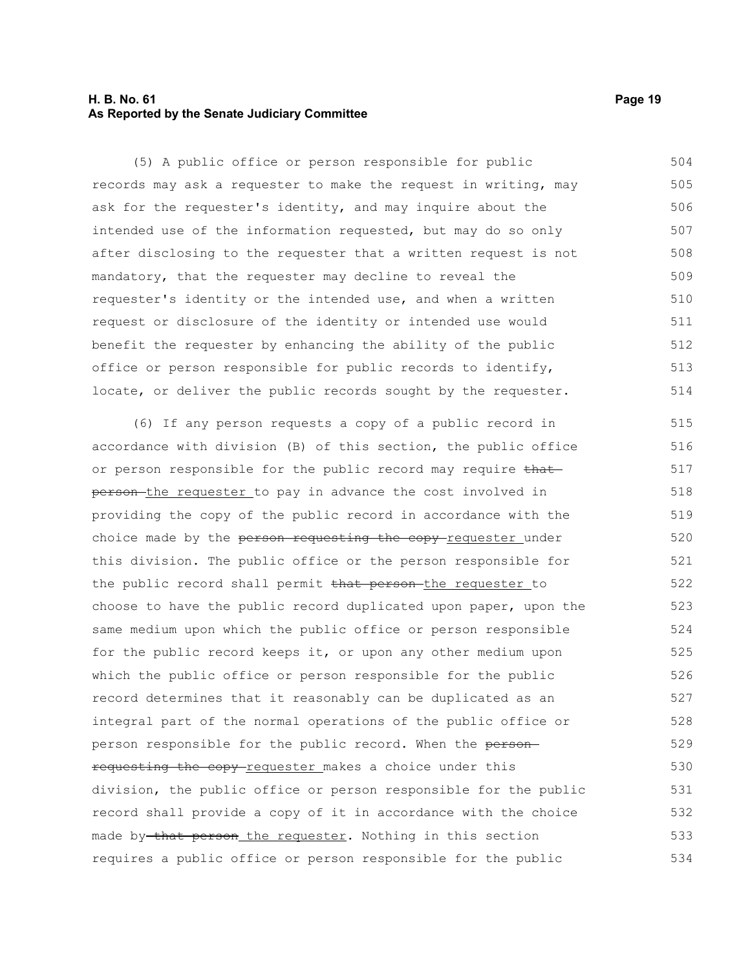#### **H. B. No. 61 Page 19 As Reported by the Senate Judiciary Committee**

(5) A public office or person responsible for public records may ask a requester to make the request in writing, may ask for the requester's identity, and may inquire about the intended use of the information requested, but may do so only after disclosing to the requester that a written request is not mandatory, that the requester may decline to reveal the requester's identity or the intended use, and when a written request or disclosure of the identity or intended use would benefit the requester by enhancing the ability of the public office or person responsible for public records to identify, locate, or deliver the public records sought by the requester. 504 505 506 507 508 509 510 511 512 513 514

(6) If any person requests a copy of a public record in accordance with division (B) of this section, the public office or person responsible for the public record may require that person-the requester to pay in advance the cost involved in providing the copy of the public record in accordance with the choice made by the person requesting the copy-requester under this division. The public office or the person responsible for the public record shall permit that person-the requester\_to choose to have the public record duplicated upon paper, upon the same medium upon which the public office or person responsible for the public record keeps it, or upon any other medium upon which the public office or person responsible for the public record determines that it reasonably can be duplicated as an integral part of the normal operations of the public office or person responsible for the public record. When the personrequesting the copy requester makes a choice under this division, the public office or person responsible for the public record shall provide a copy of it in accordance with the choice made by that person the requester. Nothing in this section requires a public office or person responsible for the public 515 516 517 518 519 520 521 522 523 524 525 526 527 528 529 530 531 532 533 534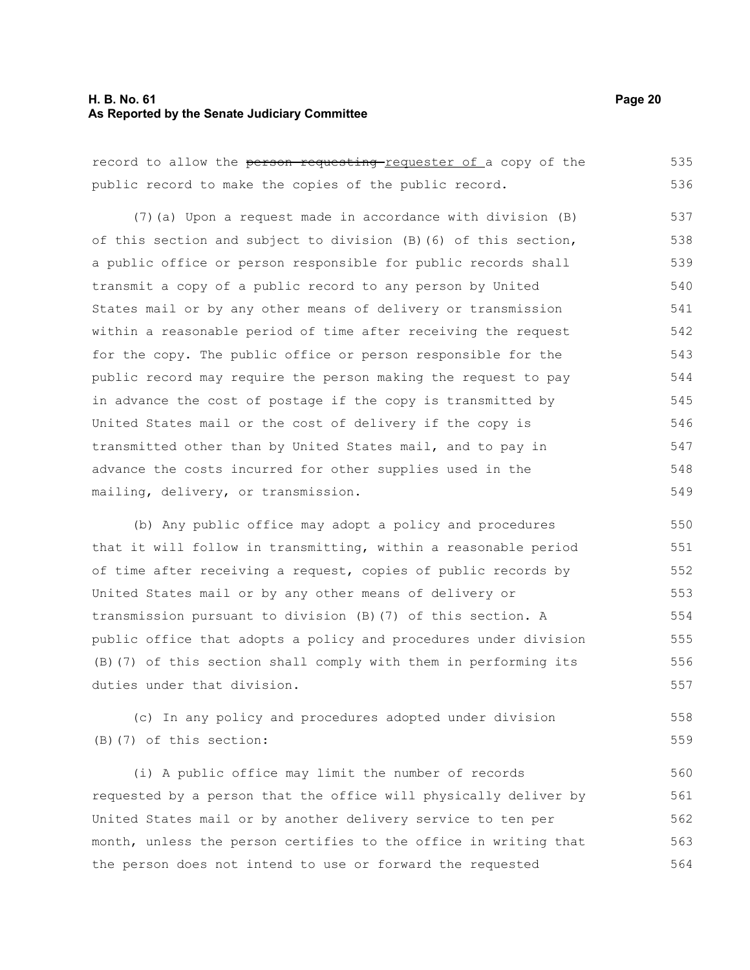#### **H. B. No. 61 Page 20 As Reported by the Senate Judiciary Committee**

record to allow the person requesting requester of a copy of the public record to make the copies of the public record. 535 536

(7)(a) Upon a request made in accordance with division (B) of this section and subject to division (B)(6) of this section, a public office or person responsible for public records shall transmit a copy of a public record to any person by United States mail or by any other means of delivery or transmission within a reasonable period of time after receiving the request for the copy. The public office or person responsible for the public record may require the person making the request to pay in advance the cost of postage if the copy is transmitted by United States mail or the cost of delivery if the copy is transmitted other than by United States mail, and to pay in advance the costs incurred for other supplies used in the mailing, delivery, or transmission. 537 538 539 540 541 542 543 544 545 546 547 548 549

(b) Any public office may adopt a policy and procedures that it will follow in transmitting, within a reasonable period of time after receiving a request, copies of public records by United States mail or by any other means of delivery or transmission pursuant to division (B)(7) of this section. A public office that adopts a policy and procedures under division (B)(7) of this section shall comply with them in performing its duties under that division.

(c) In any policy and procedures adopted under division (B)(7) of this section: 558 559

(i) A public office may limit the number of records requested by a person that the office will physically deliver by United States mail or by another delivery service to ten per month, unless the person certifies to the office in writing that the person does not intend to use or forward the requested 560 561 562 563 564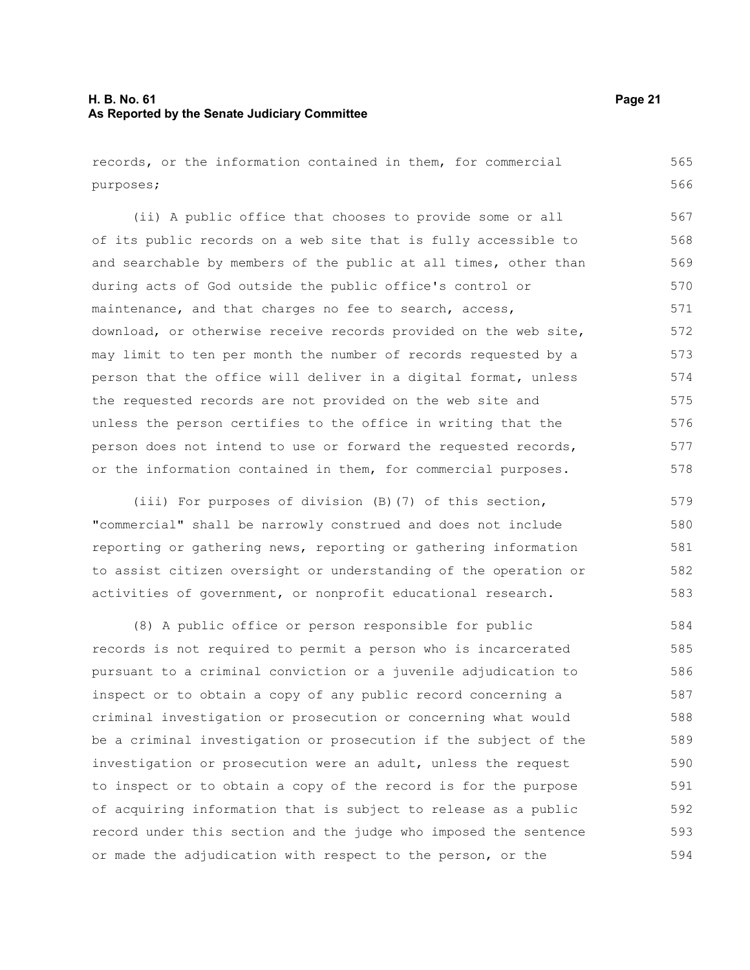#### **H. B. No. 61 Page 21 As Reported by the Senate Judiciary Committee**

records, or the information contained in them, for commercial purposes;

(ii) A public office that chooses to provide some or all of its public records on a web site that is fully accessible to and searchable by members of the public at all times, other than during acts of God outside the public office's control or maintenance, and that charges no fee to search, access, download, or otherwise receive records provided on the web site, may limit to ten per month the number of records requested by a person that the office will deliver in a digital format, unless the requested records are not provided on the web site and unless the person certifies to the office in writing that the person does not intend to use or forward the requested records, or the information contained in them, for commercial purposes. 567 568 569 570 571 572 573 574 575 576 577 578

(iii) For purposes of division (B)(7) of this section, "commercial" shall be narrowly construed and does not include reporting or gathering news, reporting or gathering information to assist citizen oversight or understanding of the operation or activities of government, or nonprofit educational research. 579 580 581 582 583

(8) A public office or person responsible for public records is not required to permit a person who is incarcerated pursuant to a criminal conviction or a juvenile adjudication to inspect or to obtain a copy of any public record concerning a criminal investigation or prosecution or concerning what would be a criminal investigation or prosecution if the subject of the investigation or prosecution were an adult, unless the request to inspect or to obtain a copy of the record is for the purpose of acquiring information that is subject to release as a public record under this section and the judge who imposed the sentence or made the adjudication with respect to the person, or the 584 585 586 587 588 589 590 591 592 593 594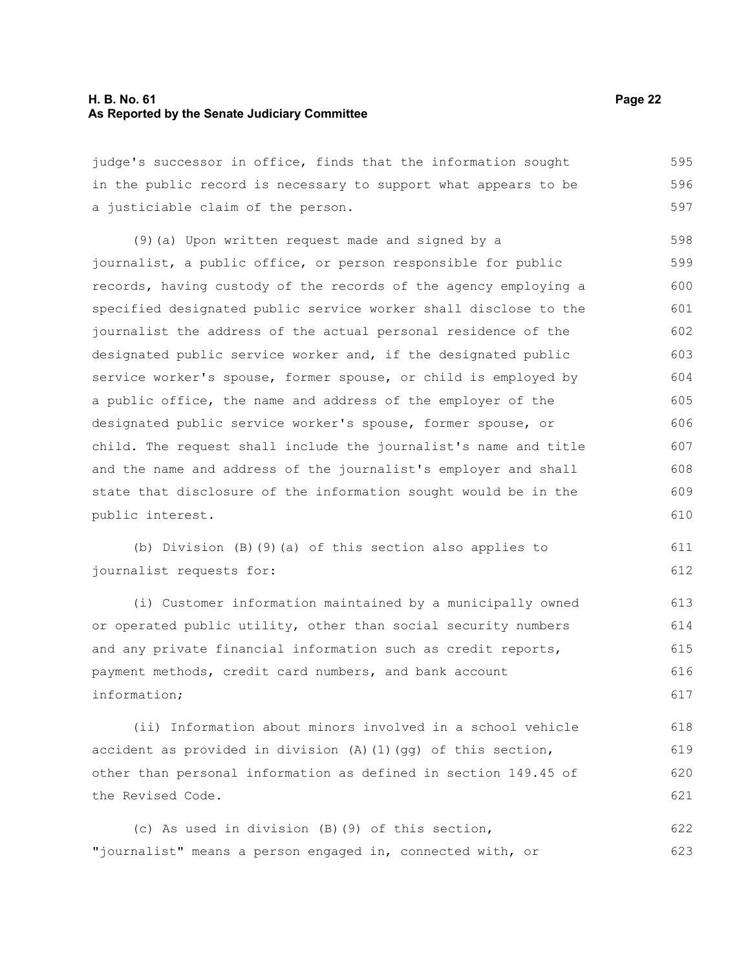#### **H. B. No. 61 Page 22 As Reported by the Senate Judiciary Committee**

judge's successor in office, finds that the information sought in the public record is necessary to support what appears to be a justiciable claim of the person. 595 596 597

(9)(a) Upon written request made and signed by a journalist, a public office, or person responsible for public records, having custody of the records of the agency employing a specified designated public service worker shall disclose to the journalist the address of the actual personal residence of the designated public service worker and, if the designated public service worker's spouse, former spouse, or child is employed by a public office, the name and address of the employer of the designated public service worker's spouse, former spouse, or child. The request shall include the journalist's name and title and the name and address of the journalist's employer and shall state that disclosure of the information sought would be in the public interest. 598 599 600 601 602 603 604 605 606 607 608 609 610

(b) Division (B)(9)(a) of this section also applies to journalist requests for:

(i) Customer information maintained by a municipally owned or operated public utility, other than social security numbers and any private financial information such as credit reports, payment methods, credit card numbers, and bank account information; 613 614 615 616 617

(ii) Information about minors involved in a school vehicle accident as provided in division  $(A)$   $(1)$   $(qq)$  of this section, other than personal information as defined in section 149.45 of the Revised Code. 618 619 620 621

(c) As used in division (B)(9) of this section, "journalist" means a person engaged in, connected with, or 622 623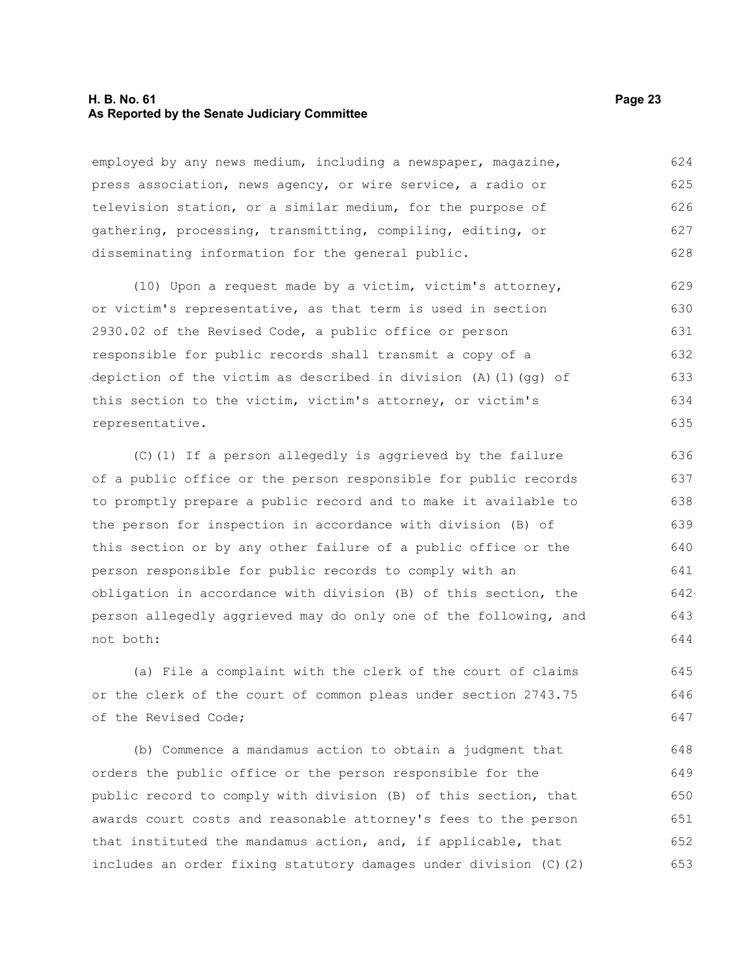#### **H. B. No. 61 Page 23 As Reported by the Senate Judiciary Committee**

employed by any news medium, including a newspaper, magazine, press association, news agency, or wire service, a radio or television station, or a similar medium, for the purpose of gathering, processing, transmitting, compiling, editing, or disseminating information for the general public. 624 625 626 627 628

(10) Upon a request made by a victim, victim's attorney, or victim's representative, as that term is used in section 2930.02 of the Revised Code, a public office or person responsible for public records shall transmit a copy of a depiction of the victim as described in division (A)(1)(gg) of this section to the victim, victim's attorney, or victim's representative.

(C)(1) If a person allegedly is aggrieved by the failure of a public office or the person responsible for public records to promptly prepare a public record and to make it available to the person for inspection in accordance with division (B) of this section or by any other failure of a public office or the person responsible for public records to comply with an obligation in accordance with division (B) of this section, the person allegedly aggrieved may do only one of the following, and not both:

(a) File a complaint with the clerk of the court of claims or the clerk of the court of common pleas under section 2743.75 of the Revised Code; 645 646 647

(b) Commence a mandamus action to obtain a judgment that orders the public office or the person responsible for the public record to comply with division (B) of this section, that awards court costs and reasonable attorney's fees to the person that instituted the mandamus action, and, if applicable, that includes an order fixing statutory damages under division (C)(2) 648 649 650 651 652 653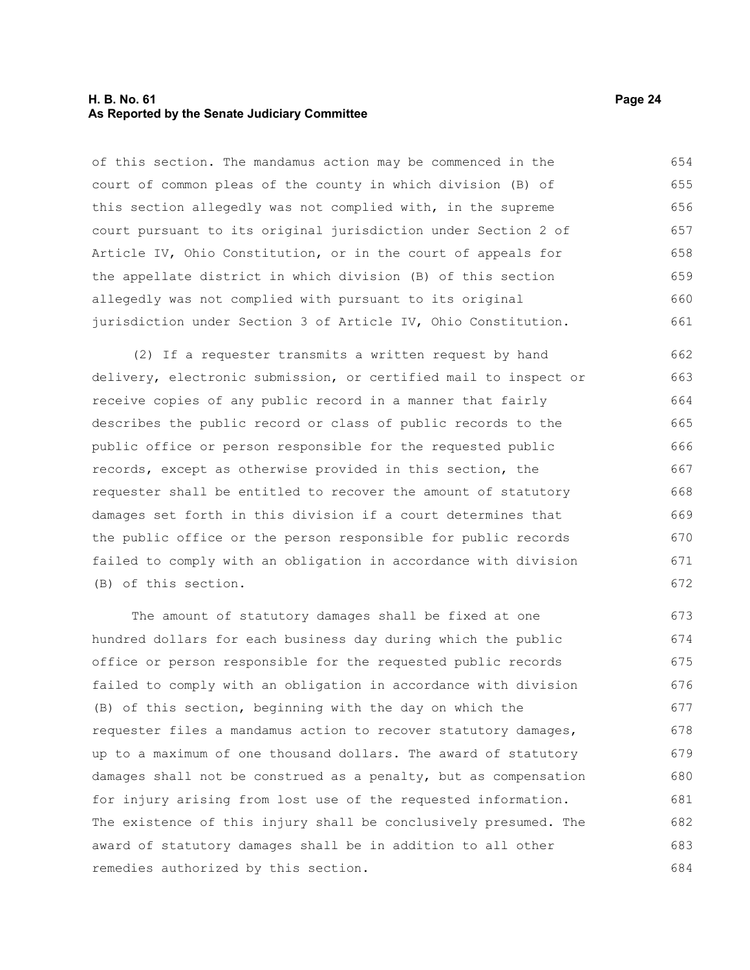#### **H. B. No. 61 Page 24 As Reported by the Senate Judiciary Committee**

of this section. The mandamus action may be commenced in the court of common pleas of the county in which division (B) of this section allegedly was not complied with, in the supreme court pursuant to its original jurisdiction under Section 2 of Article IV, Ohio Constitution, or in the court of appeals for the appellate district in which division (B) of this section allegedly was not complied with pursuant to its original jurisdiction under Section 3 of Article IV, Ohio Constitution. 654 655 656 657 658 659 660 661

(2) If a requester transmits a written request by hand delivery, electronic submission, or certified mail to inspect or receive copies of any public record in a manner that fairly describes the public record or class of public records to the public office or person responsible for the requested public records, except as otherwise provided in this section, the requester shall be entitled to recover the amount of statutory damages set forth in this division if a court determines that the public office or the person responsible for public records failed to comply with an obligation in accordance with division (B) of this section. 662 663 664 665 666 667 668 669 670 671 672

The amount of statutory damages shall be fixed at one hundred dollars for each business day during which the public office or person responsible for the requested public records failed to comply with an obligation in accordance with division (B) of this section, beginning with the day on which the requester files a mandamus action to recover statutory damages, up to a maximum of one thousand dollars. The award of statutory damages shall not be construed as a penalty, but as compensation for injury arising from lost use of the requested information. The existence of this injury shall be conclusively presumed. The award of statutory damages shall be in addition to all other remedies authorized by this section. 673 674 675 676 677 678 679 680 681 682 683 684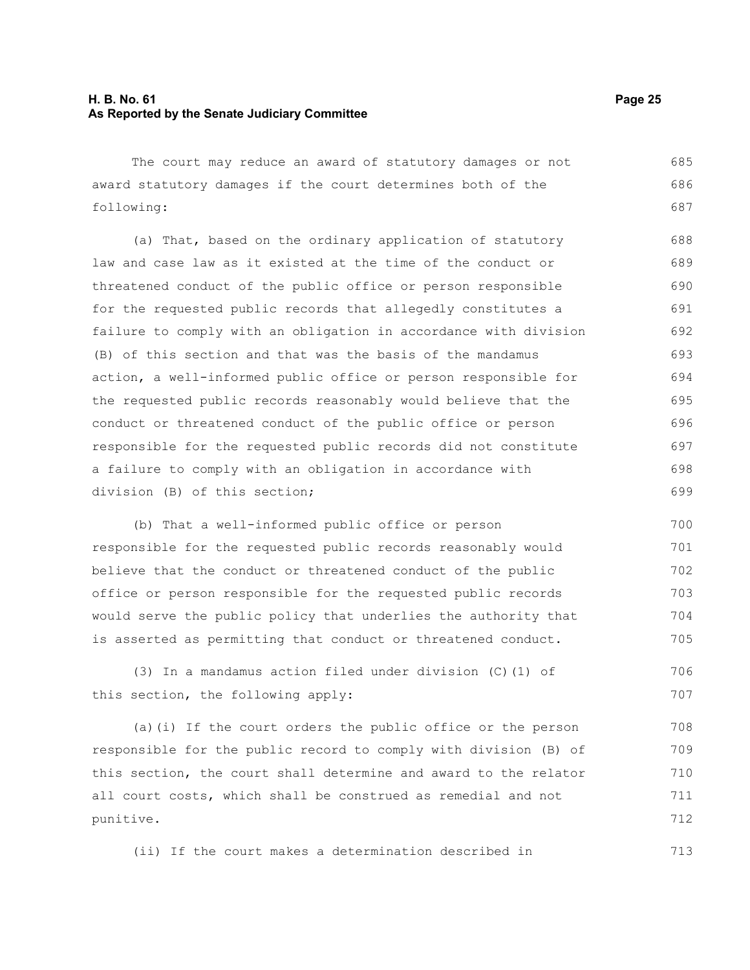#### **H. B. No. 61 Page 25 As Reported by the Senate Judiciary Committee**

The court may reduce an award of statutory damages or not award statutory damages if the court determines both of the following: 685 686 687

(a) That, based on the ordinary application of statutory law and case law as it existed at the time of the conduct or threatened conduct of the public office or person responsible for the requested public records that allegedly constitutes a failure to comply with an obligation in accordance with division (B) of this section and that was the basis of the mandamus action, a well-informed public office or person responsible for the requested public records reasonably would believe that the conduct or threatened conduct of the public office or person responsible for the requested public records did not constitute a failure to comply with an obligation in accordance with division (B) of this section; 688 689 690 691 692 693 694 695 696 697 698 699

(b) That a well-informed public office or person responsible for the requested public records reasonably would believe that the conduct or threatened conduct of the public office or person responsible for the requested public records would serve the public policy that underlies the authority that is asserted as permitting that conduct or threatened conduct. 700 701 702 703 704 705

(3) In a mandamus action filed under division (C)(1) of this section, the following apply:

(a)(i) If the court orders the public office or the person responsible for the public record to comply with division (B) of this section, the court shall determine and award to the relator all court costs, which shall be construed as remedial and not punitive. 708 709 710 711 712

(ii) If the court makes a determination described in

706 707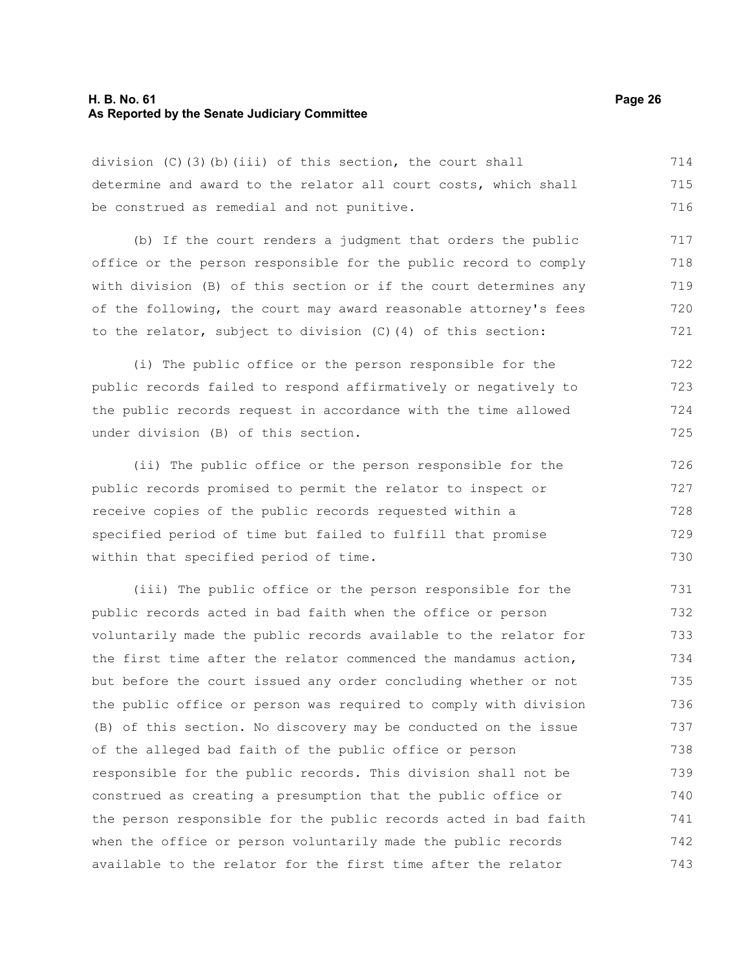#### **H. B. No. 61 Page 26 As Reported by the Senate Judiciary Committee**

division (C)(3)(b)(iii) of this section, the court shall determine and award to the relator all court costs, which shall be construed as remedial and not punitive. 714 715 716

(b) If the court renders a judgment that orders the public office or the person responsible for the public record to comply with division (B) of this section or if the court determines any of the following, the court may award reasonable attorney's fees to the relator, subject to division (C)(4) of this section: 717 718 719 720 721

(i) The public office or the person responsible for the public records failed to respond affirmatively or negatively to the public records request in accordance with the time allowed under division (B) of this section. 722 723 724 725

(ii) The public office or the person responsible for the public records promised to permit the relator to inspect or receive copies of the public records requested within a specified period of time but failed to fulfill that promise within that specified period of time. 726 727 728 729 730

(iii) The public office or the person responsible for the public records acted in bad faith when the office or person voluntarily made the public records available to the relator for the first time after the relator commenced the mandamus action, but before the court issued any order concluding whether or not the public office or person was required to comply with division (B) of this section. No discovery may be conducted on the issue of the alleged bad faith of the public office or person responsible for the public records. This division shall not be construed as creating a presumption that the public office or the person responsible for the public records acted in bad faith when the office or person voluntarily made the public records available to the relator for the first time after the relator 731 732 733 734 735 736 737 738 739 740 741 742 743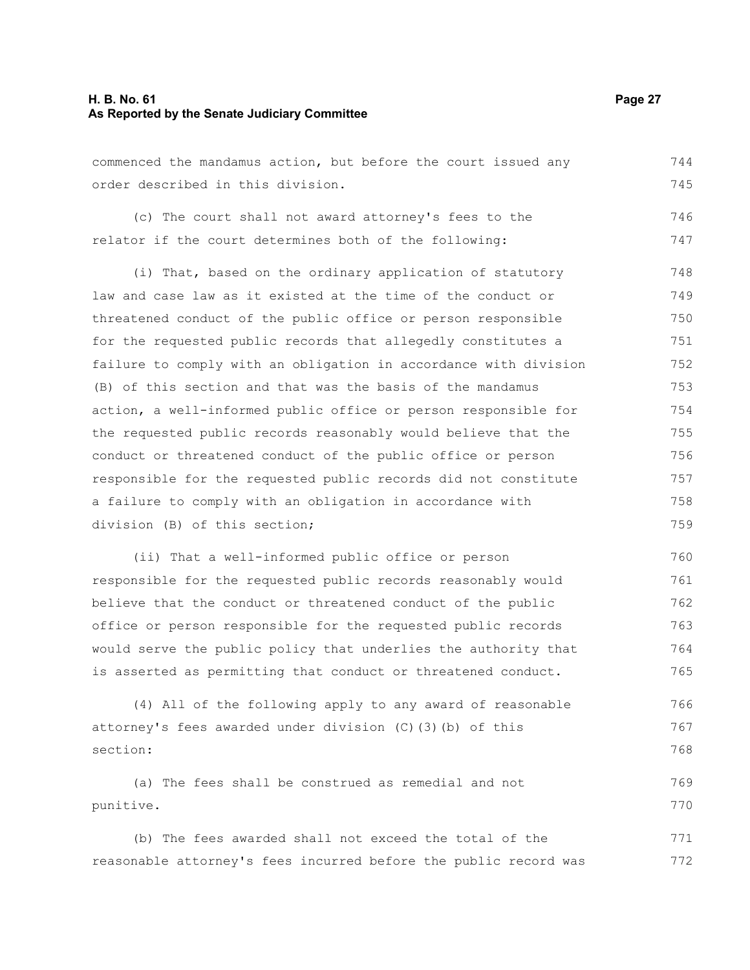#### **H. B. No. 61 Page 27 As Reported by the Senate Judiciary Committee**

commenced the mandamus action, but before the court issued any order described in this division. (c) The court shall not award attorney's fees to the relator if the court determines both of the following: (i) That, based on the ordinary application of statutory law and case law as it existed at the time of the conduct or threatened conduct of the public office or person responsible for the requested public records that allegedly constitutes a failure to comply with an obligation in accordance with division (B) of this section and that was the basis of the mandamus action, a well-informed public office or person responsible for the requested public records reasonably would believe that the conduct or threatened conduct of the public office or person responsible for the requested public records did not constitute a failure to comply with an obligation in accordance with division (B) of this section; (ii) That a well-informed public office or person responsible for the requested public records reasonably would believe that the conduct or threatened conduct of the public office or person responsible for the requested public records would serve the public policy that underlies the authority that is asserted as permitting that conduct or threatened conduct. (4) All of the following apply to any award of reasonable 744 745 746 747 748 749 750 751 752 753 754 755 756 757 758 759 760 761 762 763 764 765 766

attorney's fees awarded under division (C)(3)(b) of this section: 767 768

(a) The fees shall be construed as remedial and not punitive. 769 770

(b) The fees awarded shall not exceed the total of the reasonable attorney's fees incurred before the public record was 771 772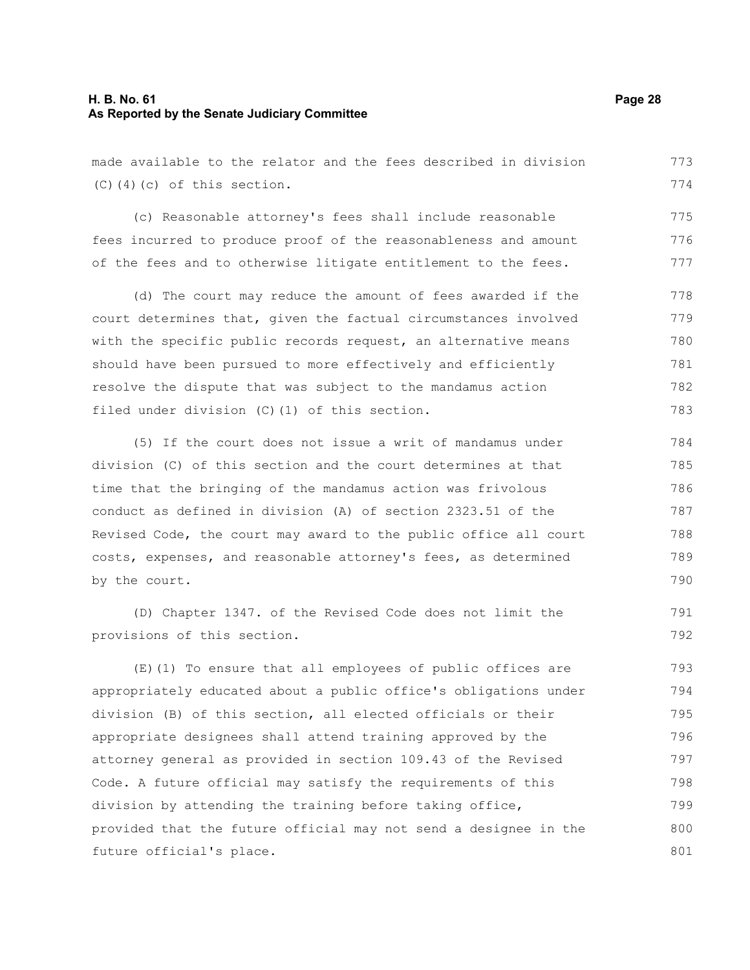#### **H. B. No. 61 Page 28 As Reported by the Senate Judiciary Committee**

made available to the relator and the fees described in division (C)(4)(c) of this section.

(c) Reasonable attorney's fees shall include reasonable fees incurred to produce proof of the reasonableness and amount of the fees and to otherwise litigate entitlement to the fees. 775 777

(d) The court may reduce the amount of fees awarded if the court determines that, given the factual circumstances involved with the specific public records request, an alternative means should have been pursued to more effectively and efficiently resolve the dispute that was subject to the mandamus action filed under division (C)(1) of this section. 778 779 780 781 782 783

(5) If the court does not issue a writ of mandamus under division (C) of this section and the court determines at that time that the bringing of the mandamus action was frivolous conduct as defined in division (A) of section 2323.51 of the Revised Code, the court may award to the public office all court costs, expenses, and reasonable attorney's fees, as determined by the court.

(D) Chapter 1347. of the Revised Code does not limit the provisions of this section.

(E)(1) To ensure that all employees of public offices are appropriately educated about a public office's obligations under division (B) of this section, all elected officials or their appropriate designees shall attend training approved by the attorney general as provided in section 109.43 of the Revised Code. A future official may satisfy the requirements of this division by attending the training before taking office, provided that the future official may not send a designee in the future official's place. 793 794 795 796 797 798 799 800 801

776

773 774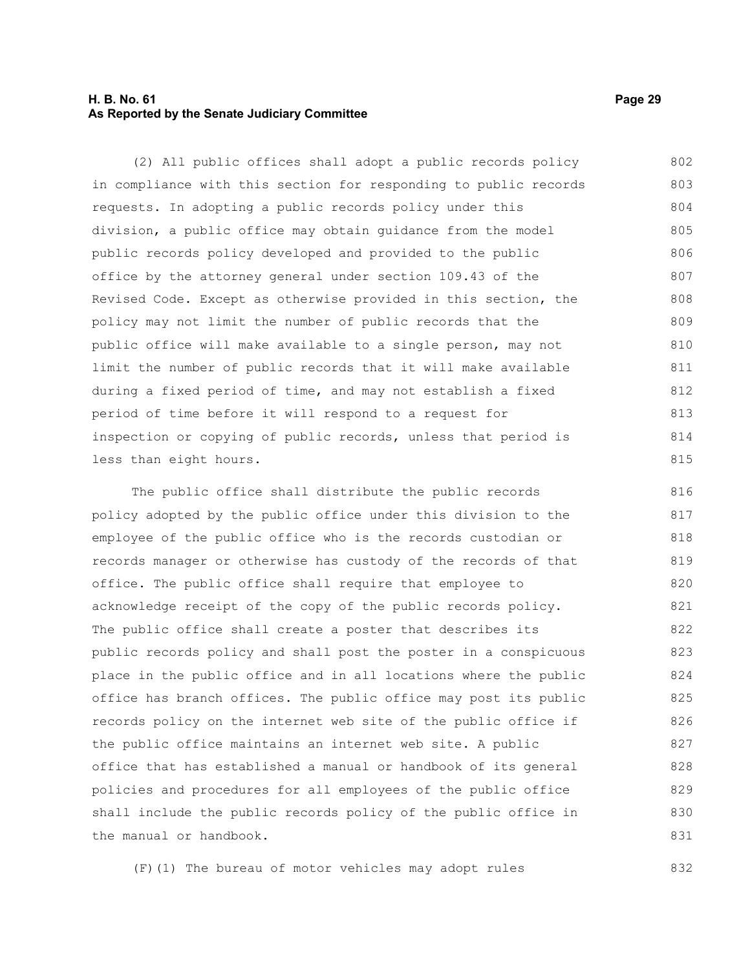#### **H. B. No. 61 Page 29 As Reported by the Senate Judiciary Committee**

(2) All public offices shall adopt a public records policy in compliance with this section for responding to public records requests. In adopting a public records policy under this division, a public office may obtain guidance from the model public records policy developed and provided to the public office by the attorney general under section 109.43 of the Revised Code. Except as otherwise provided in this section, the policy may not limit the number of public records that the public office will make available to a single person, may not limit the number of public records that it will make available during a fixed period of time, and may not establish a fixed period of time before it will respond to a request for inspection or copying of public records, unless that period is less than eight hours. 802 803 804 805 806 807 808 809 810 811 812 813 814 815

The public office shall distribute the public records policy adopted by the public office under this division to the employee of the public office who is the records custodian or records manager or otherwise has custody of the records of that office. The public office shall require that employee to acknowledge receipt of the copy of the public records policy. The public office shall create a poster that describes its public records policy and shall post the poster in a conspicuous place in the public office and in all locations where the public office has branch offices. The public office may post its public records policy on the internet web site of the public office if the public office maintains an internet web site. A public office that has established a manual or handbook of its general policies and procedures for all employees of the public office shall include the public records policy of the public office in the manual or handbook. 816 817 818 819 820 821 822 823 824 825 826 827 828 829 830 831

(F)(1) The bureau of motor vehicles may adopt rules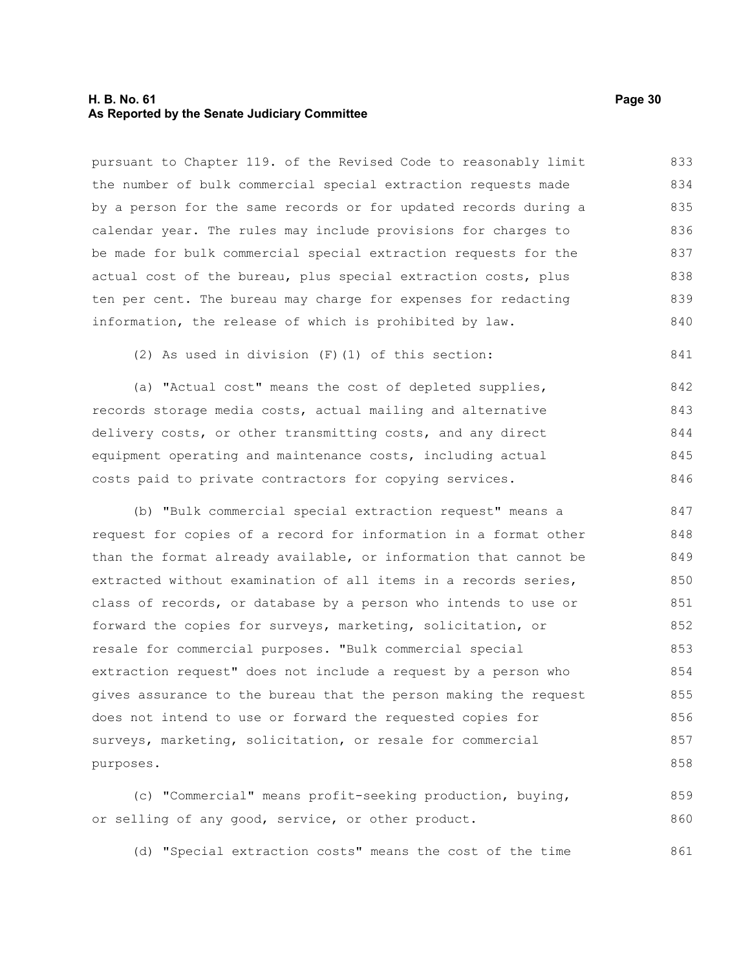#### **H. B. No. 61 Page 30 As Reported by the Senate Judiciary Committee**

pursuant to Chapter 119. of the Revised Code to reasonably limit the number of bulk commercial special extraction requests made by a person for the same records or for updated records during a calendar year. The rules may include provisions for charges to be made for bulk commercial special extraction requests for the actual cost of the bureau, plus special extraction costs, plus ten per cent. The bureau may charge for expenses for redacting information, the release of which is prohibited by law. 833 834 835 836 837 838 839 840

(2) As used in division (F)(1) of this section:

(a) "Actual cost" means the cost of depleted supplies, records storage media costs, actual mailing and alternative delivery costs, or other transmitting costs, and any direct equipment operating and maintenance costs, including actual costs paid to private contractors for copying services. 842 843 844 845 846

(b) "Bulk commercial special extraction request" means a request for copies of a record for information in a format other than the format already available, or information that cannot be extracted without examination of all items in a records series, class of records, or database by a person who intends to use or forward the copies for surveys, marketing, solicitation, or resale for commercial purposes. "Bulk commercial special extraction request" does not include a request by a person who gives assurance to the bureau that the person making the request does not intend to use or forward the requested copies for surveys, marketing, solicitation, or resale for commercial purposes. 847 848 849 850 851 852 853 854 855 856 857 858

(c) "Commercial" means profit-seeking production, buying, or selling of any good, service, or other product. 859 860

(d) "Special extraction costs" means the cost of the time

841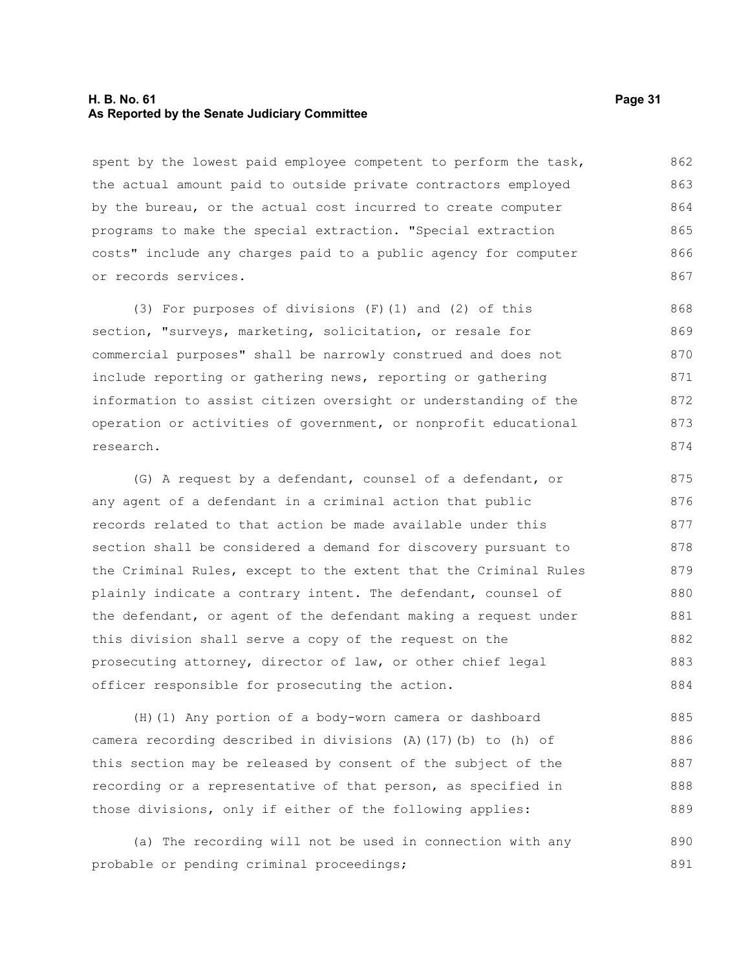#### **H. B. No. 61 Page 31 As Reported by the Senate Judiciary Committee**

spent by the lowest paid employee competent to perform the task, the actual amount paid to outside private contractors employed by the bureau, or the actual cost incurred to create computer programs to make the special extraction. "Special extraction costs" include any charges paid to a public agency for computer or records services. 862 863 864 865 866 867

(3) For purposes of divisions (F)(1) and (2) of this section, "surveys, marketing, solicitation, or resale for commercial purposes" shall be narrowly construed and does not include reporting or gathering news, reporting or gathering information to assist citizen oversight or understanding of the operation or activities of government, or nonprofit educational research. 868 869 870 871 872 873 874

(G) A request by a defendant, counsel of a defendant, or any agent of a defendant in a criminal action that public records related to that action be made available under this section shall be considered a demand for discovery pursuant to the Criminal Rules, except to the extent that the Criminal Rules plainly indicate a contrary intent. The defendant, counsel of the defendant, or agent of the defendant making a request under this division shall serve a copy of the request on the prosecuting attorney, director of law, or other chief legal officer responsible for prosecuting the action. 875 876 877 878 879 880 881 882 883 884

(H)(1) Any portion of a body-worn camera or dashboard camera recording described in divisions (A)(17)(b) to (h) of this section may be released by consent of the subject of the recording or a representative of that person, as specified in those divisions, only if either of the following applies: 885 886 887 888 889

(a) The recording will not be used in connection with any probable or pending criminal proceedings; 890 891